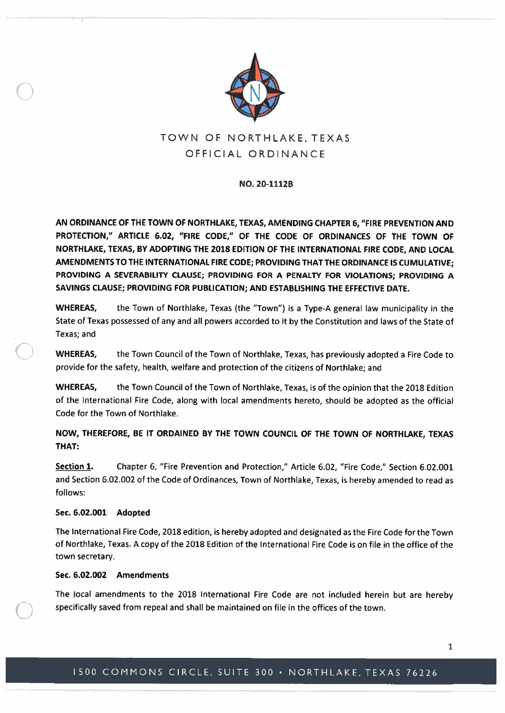

## TOWN OF NORTHLAKE, TEXAS OFFICIAL ORDINANCE

## **NO. 20-1112B**

AN ORDINANCE OF THE TOWN OF NORTHLAKE, TEXAS, AMENDING CHAPTER 6, "FIRE PREVENTION AND PROTECTION," ARTICLE 6.02, "FIRE CODE," OF THE CODE OF ORDINANCES OF THE TOWN OF NORTHLAKE, TEXAS, BY ADOPTING THE 2018 EDITION OF THE INTERNATIONAL FIRE CODE. AND LOCAL AMENDMENTS TO THE INTERNATIONAL FIRE CODE; PROVIDING THAT THE ORDINANCE IS CUMULATIVE: PROVIDING A SEVERABILITY CLAUSE; PROVIDING FOR A PENALTY FOR VIOLATIONS; PROVIDING A SAVINGS CLAUSE; PROVIDING FOR PUBLICATION; AND ESTABLISHING THE EFFECTIVE DATE.

the Town of Northlake, Texas (the "Town") is a Type-A general law municipality in the **WHEREAS,** State of Texas possessed of any and all powers accorded to it by the Constitution and laws of the State of Texas; and

**WHEREAS.** the Town Council of the Town of Northlake, Texas, has previously adopted a Fire Code to provide for the safety, health, welfare and protection of the citizens of Northlake; and

**WHEREAS.** the Town Council of the Town of Northlake, Texas, is of the opinion that the 2018 Edition of the International Fire Code, along with local amendments hereto, should be adopted as the official Code for the Town of Northlake.

## NOW, THEREFORE, BE IT ORDAINED BY THE TOWN COUNCIL OF THE TOWN OF NORTHLAKE, TEXAS THAT:

Section 1. Chapter 6, "Fire Prevention and Protection," Article 6.02, "Fire Code," Section 6.02.001 and Section 6.02.002 of the Code of Ordinances, Town of Northlake, Texas, is hereby amended to read as follows:

## Sec. 6.02.001 Adopted

The International Fire Code, 2018 edition, is hereby adopted and designated as the Fire Code for the Town of Northlake, Texas. A copy of the 2018 Edition of the International Fire Code is on file in the office of the town secretary.

## Sec. 6.02.002 Amendments

The local amendments to the 2018 International Fire Code are not included herein but are hereby specifically saved from repeal and shall be maintained on file in the offices of the town.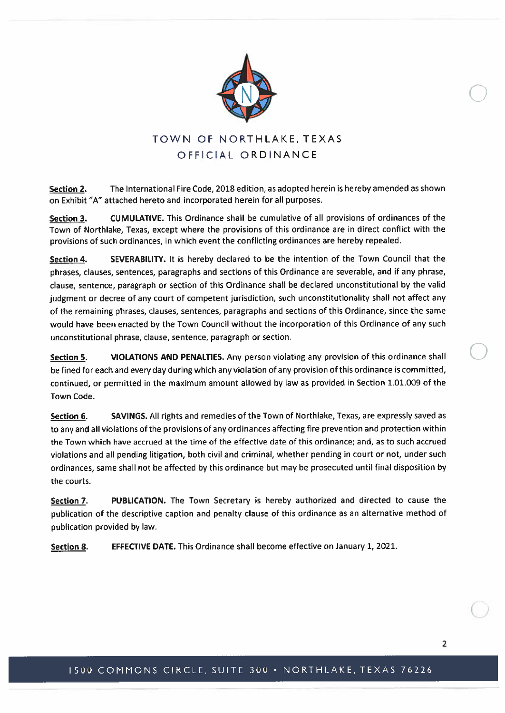

# TOWN OF NORTHLAKE, TEXAS OFFICIAL ORDINANCE

The International Fire Code, 2018 edition, as adopted herein is hereby amended as shown **Section 2.** on Exhibit "A" attached hereto and incorporated herein for all purposes.

**CUMULATIVE.** This Ordinance shall be cumulative of all provisions of ordinances of the Section 3. Town of Northlake, Texas, except where the provisions of this ordinance are in direct conflict with the provisions of such ordinances, in which event the conflicting ordinances are hereby repealed.

Section 4. SEVERABILITY. It is hereby declared to be the intention of the Town Council that the phrases, clauses, sentences, paragraphs and sections of this Ordinance are severable, and if any phrase, clause, sentence, paragraph or section of this Ordinance shall be declared unconstitutional by the valid judgment or decree of any court of competent jurisdiction, such unconstitutionality shall not affect any of the remaining phrases, clauses, sentences, paragraphs and sections of this Ordinance, since the same would have been enacted by the Town Council without the incorporation of this Ordinance of any such unconstitutional phrase, clause, sentence, paragraph or section.

VIOLATIONS AND PENALTIES. Any person violating any provision of this ordinance shall Section 5. be fined for each and every day during which any violation of any provision of this ordinance is committed, continued, or permitted in the maximum amount allowed by law as provided in Section 1.01.009 of the Town Code.

Section 6. SAVINGS. All rights and remedies of the Town of Northlake, Texas, are expressly saved as to any and all violations of the provisions of any ordinances affecting fire prevention and protection within the Town which have accrued at the time of the effective date of this ordinance; and, as to such accrued violations and all pending litigation, both civil and criminal, whether pending in court or not, under such ordinances, same shall not be affected by this ordinance but may be prosecuted until final disposition by the courts.

Section 7. PUBLICATION. The Town Secretary is hereby authorized and directed to cause the publication of the descriptive caption and penalty clause of this ordinance as an alternative method of publication provided by law.

**EFFECTIVE DATE.** This Ordinance shall become effective on January 1, 2021. Section 8.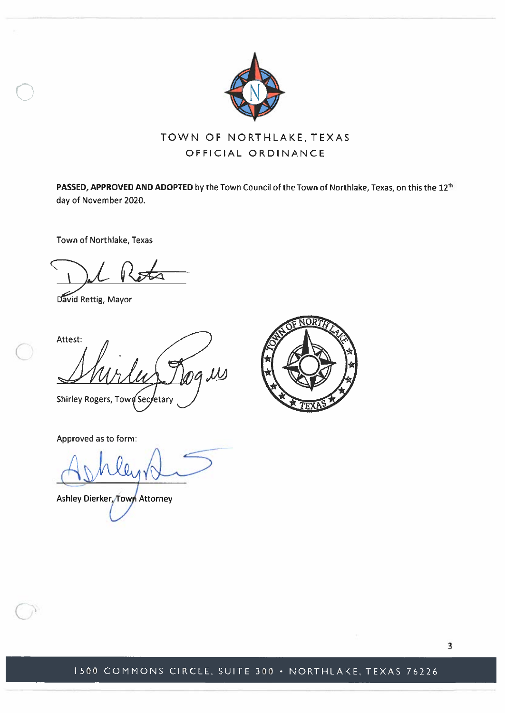

# TOWN OF NORTHLAKE, TEXAS OFFICIAL ORDINANCE

PASSED, APPROVED AND ADOPTED by the Town Council of the Town of Northlake, Texas, on this the 12th day of November 2020.

Town of Northlake, Texas

David Rettig, Mayor

Attest: ng W Shirley Rogers, Town Secretary



Approved as to form:

Ashley Dierker, Town Attorney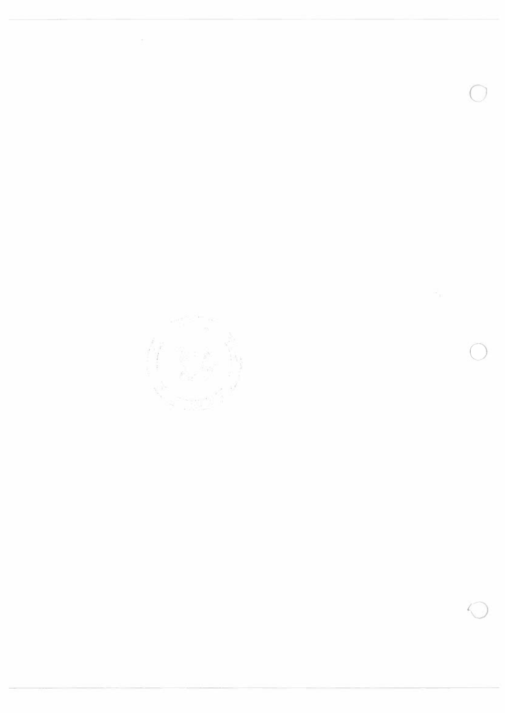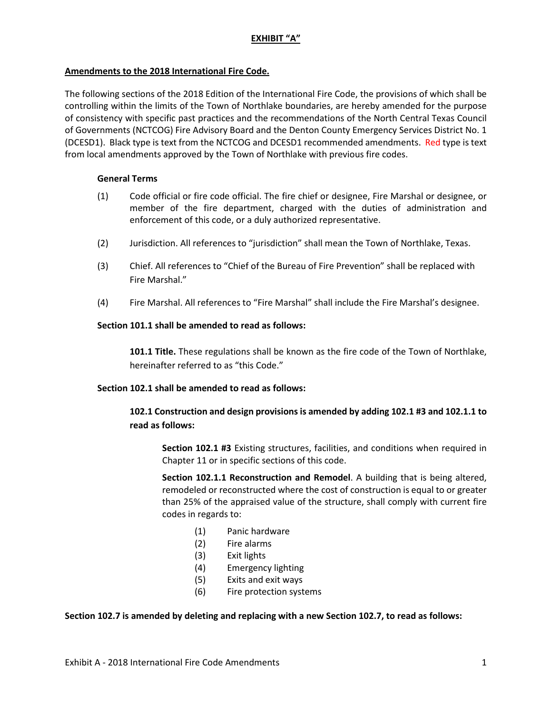## **EXHIBIT "A"**

## **Amendments to the 2018 International Fire Code.**

The following sections of the 2018 Edition of the International Fire Code, the provisions of which shall be controlling within the limits of the Town of Northlake boundaries, are hereby amended for the purpose of consistency with specific past practices and the recommendations of the North Central Texas Council of Governments (NCTCOG) Fire Advisory Board and the Denton County Emergency Services District No. 1 (DCESD1). Black type is text from the NCTCOG and DCESD1 recommended amendments. Red type is text from local amendments approved by the Town of Northlake with previous fire codes.

## **General Terms**

- (1) Code official or fire code official. The fire chief or designee, Fire Marshal or designee, or member of the fire department, charged with the duties of administration and enforcement of this code, or a duly authorized representative.
- (2) Jurisdiction. All references to "jurisdiction" shall mean the Town of Northlake, Texas.
- (3) Chief. All references to "Chief of the Bureau of Fire Prevention" shall be replaced with Fire Marshal."
- (4) Fire Marshal. All references to "Fire Marshal" shall include the Fire Marshal's designee.

## **Section 101.1 shall be amended to read as follows:**

**101.1 Title.** These regulations shall be known as the fire code of the Town of Northlake, hereinafter referred to as "this Code."

#### **Section 102.1 shall be amended to read as follows:**

**102.1 Construction and design provisions is amended by adding 102.1 #3 and 102.1.1 to read as follows:**

**Section 102.1 #3** Existing structures, facilities, and conditions when required in Chapter 11 or in specific sections of this code.

**Section 102.1.1 Reconstruction and Remodel**. A building that is being altered, remodeled or reconstructed where the cost of construction is equal to or greater than 25% of the appraised value of the structure, shall comply with current fire codes in regards to:

- (1) Panic hardware
- (2) Fire alarms
- (3) Exit lights
- (4) Emergency lighting
- (5) Exits and exit ways
- (6) Fire protection systems

#### **Section 102.7 is amended by deleting and replacing with a new Section 102.7, to read as follows:**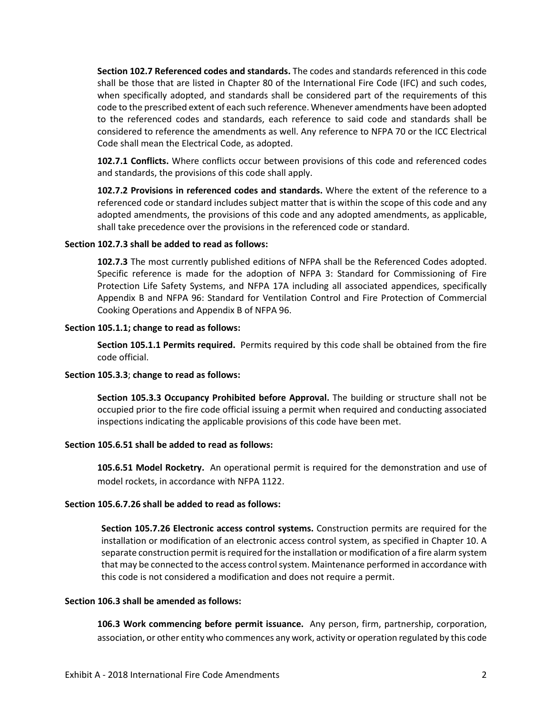**Section 102.7 Referenced codes and standards.** The codes and standards referenced in this code shall be those that are listed in Chapter 80 of the International Fire Code (IFC) and such codes, when specifically adopted, and standards shall be considered part of the requirements of this code to the prescribed extent of each such reference. Whenever amendments have been adopted to the referenced codes and standards, each reference to said code and standards shall be considered to reference the amendments as well. Any reference to NFPA 70 or the ICC Electrical Code shall mean the Electrical Code, as adopted.

**102.7.1 Conflicts.** Where conflicts occur between provisions of this code and referenced codes and standards, the provisions of this code shall apply.

**102.7.2 Provisions in referenced codes and standards.** Where the extent of the reference to a referenced code or standard includes subject matter that is within the scope of this code and any adopted amendments, the provisions of this code and any adopted amendments, as applicable, shall take precedence over the provisions in the referenced code or standard.

#### **Section 102.7.3 shall be added to read as follows:**

**102.7.3** The most currently published editions of NFPA shall be the Referenced Codes adopted. Specific reference is made for the adoption of NFPA 3: Standard for Commissioning of Fire Protection Life Safety Systems, and NFPA 17A including all associated appendices, specifically Appendix B and NFPA 96: Standard for Ventilation Control and Fire Protection of Commercial Cooking Operations and Appendix B of NFPA 96.

#### **Section 105.1.1; change to read as follows:**

**Section 105.1.1 Permits required.** Permits required by this code shall be obtained from the fire code official.

#### **Section 105.3.3**; **change to read as follows:**

**Section 105.3.3 Occupancy Prohibited before Approval.** The building or structure shall not be occupied prior to the fire code official issuing a permit when required and conducting associated inspections indicating the applicable provisions of this code have been met.

#### **Section 105.6.51 shall be added to read as follows:**

**105.6.51 Model Rocketry.** An operational permit is required for the demonstration and use of model rockets, in accordance with NFPA 1122.

## **Section 105.6.7.26 shall be added to read as follows:**

**Section 105.7.26 Electronic access control systems.** Construction permits are required for the installation or modification of an electronic access control system, as specified in Chapter 10. A separate construction permit is required for the installation or modification of a fire alarm system that may be connected to the access control system. Maintenance performed in accordance with this code is not considered a modification and does not require a permit.

#### **Section 106.3 shall be amended as follows:**

**106.3 Work commencing before permit issuance.** Any person, firm, partnership, corporation, association, or other entity who commences any work, activity or operation regulated by this code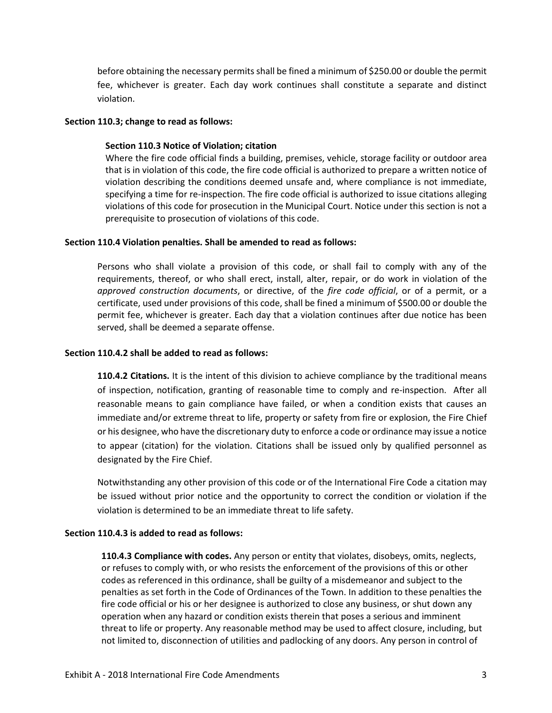before obtaining the necessary permits shall be fined a minimum of \$250.00 or double the permit fee, whichever is greater. Each day work continues shall constitute a separate and distinct violation.

## **Section 110.3; change to read as follows:**

## **Section 110.3 Notice of Violation; citation**

Where the fire code official finds a building, premises, vehicle, storage facility or outdoor area that is in violation of this code, the fire code official is authorized to prepare a written notice of violation describing the conditions deemed unsafe and, where compliance is not immediate, specifying a time for re-inspection. The fire code official is authorized to issue citations alleging violations of this code for prosecution in the Municipal Court. Notice under this section is not a prerequisite to prosecution of violations of this code.

## **Section 110.4 Violation penalties. Shall be amended to read as follows:**

Persons who shall violate a provision of this code, or shall fail to comply with any of the requirements, thereof, or who shall erect, install, alter, repair, or do work in violation of the *approved construction documents*, or directive, of the *fire code official*, or of a permit, or a certificate, used under provisions of this code, shall be fined a minimum of \$500.00 or double the permit fee, whichever is greater. Each day that a violation continues after due notice has been served, shall be deemed a separate offense.

## **Section 110.4.2 shall be added to read as follows:**

**110.4.2 Citations.** It is the intent of this division to achieve compliance by the traditional means of inspection, notification, granting of reasonable time to comply and re-inspection. After all reasonable means to gain compliance have failed, or when a condition exists that causes an immediate and/or extreme threat to life, property or safety from fire or explosion, the Fire Chief or his designee, who have the discretionary duty to enforce a code or ordinance may issue a notice to appear (citation) for the violation. Citations shall be issued only by qualified personnel as designated by the Fire Chief.

Notwithstanding any other provision of this code or of the International Fire Code a citation may be issued without prior notice and the opportunity to correct the condition or violation if the violation is determined to be an immediate threat to life safety.

## **Section 110.4.3 is added to read as follows:**

**110.4.3 Compliance with codes.** Any person or entity that violates, disobeys, omits, neglects, or refuses to comply with, or who resists the enforcement of the provisions of this or other codes as referenced in this ordinance, shall be guilty of a misdemeanor and subject to the penalties as set forth in the Code of Ordinances of the Town. In addition to these penalties the fire code official or his or her designee is authorized to close any business, or shut down any operation when any hazard or condition exists therein that poses a serious and imminent threat to life or property. Any reasonable method may be used to affect closure, including, but not limited to, disconnection of utilities and padlocking of any doors. Any person in control of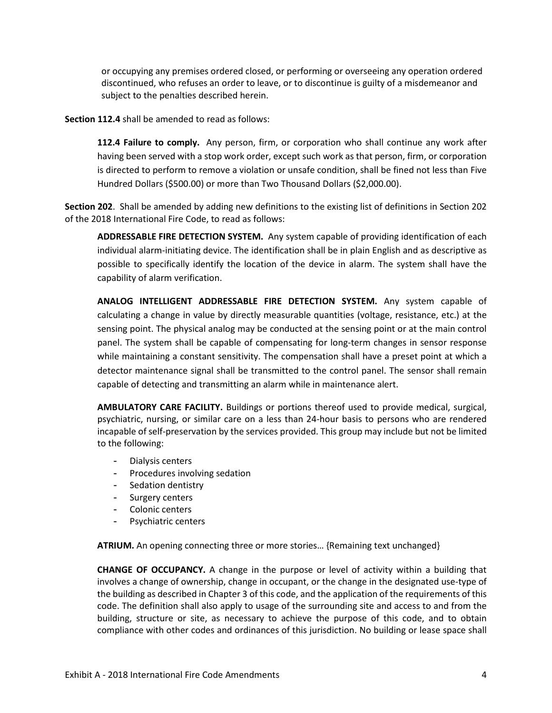or occupying any premises ordered closed, or performing or overseeing any operation ordered discontinued, who refuses an order to leave, or to discontinue is guilty of a misdemeanor and subject to the penalties described herein.

**Section 112.4** shall be amended to read as follows:

**112.4 Failure to comply.** Any person, firm, or corporation who shall continue any work after having been served with a stop work order, except such work as that person, firm, or corporation is directed to perform to remove a violation or unsafe condition, shall be fined not less than Five Hundred Dollars (\$500.00) or more than Two Thousand Dollars (\$2,000.00).

**Section 202**. Shall be amended by adding new definitions to the existing list of definitions in Section 202 of the 2018 International Fire Code, to read as follows:

**ADDRESSABLE FIRE DETECTION SYSTEM.** Any system capable of providing identification of each individual alarm-initiating device. The identification shall be in plain English and as descriptive as possible to specifically identify the location of the device in alarm. The system shall have the capability of alarm verification.

**ANALOG INTELLIGENT ADDRESSABLE FIRE DETECTION SYSTEM.** Any system capable of calculating a change in value by directly measurable quantities (voltage, resistance, etc.) at the sensing point. The physical analog may be conducted at the sensing point or at the main control panel. The system shall be capable of compensating for long-term changes in sensor response while maintaining a constant sensitivity. The compensation shall have a preset point at which a detector maintenance signal shall be transmitted to the control panel. The sensor shall remain capable of detecting and transmitting an alarm while in maintenance alert.

**AMBULATORY CARE FACILITY.** Buildings or portions thereof used to provide medical, surgical, psychiatric, nursing, or similar care on a less than 24-hour basis to persons who are rendered incapable of self-preservation by the services provided. This group may include but not be limited to the following:

- Dialysis centers
- Procedures involving sedation
- Sedation dentistry
- Surgery centers
- Colonic centers
- Psychiatric centers

**ATRIUM.** An opening connecting three or more stories… {Remaining text unchanged}

**CHANGE OF OCCUPANCY.** A change in the purpose or level of activity within a building that involves a change of ownership, change in occupant, or the change in the designated use-type of the building as described in Chapter 3 of this code, and the application of the requirements of this code. The definition shall also apply to usage of the surrounding site and access to and from the building, structure or site, as necessary to achieve the purpose of this code, and to obtain compliance with other codes and ordinances of this jurisdiction. No building or lease space shall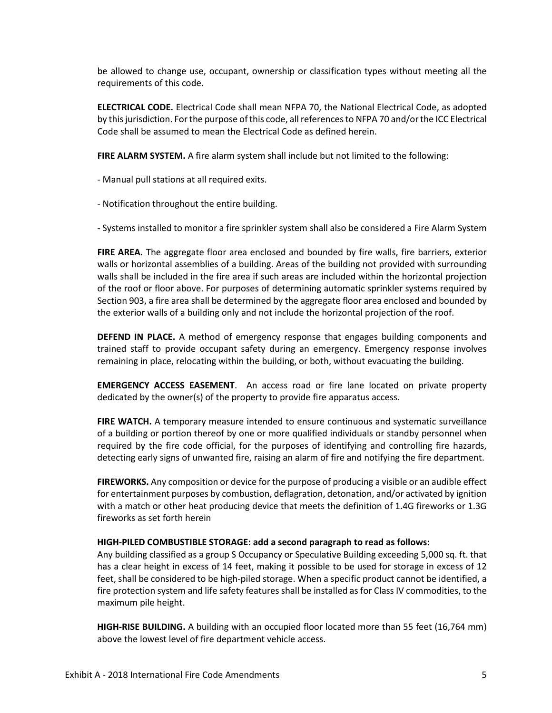be allowed to change use, occupant, ownership or classification types without meeting all the requirements of this code.

**ELECTRICAL CODE.** Electrical Code shall mean NFPA 70, the National Electrical Code, as adopted by this jurisdiction. For the purpose of this code, all references to NFPA 70 and/or the ICC Electrical Code shall be assumed to mean the Electrical Code as defined herein.

**FIRE ALARM SYSTEM.** A fire alarm system shall include but not limited to the following:

- Manual pull stations at all required exits.

- Notification throughout the entire building.

- Systems installed to monitor a fire sprinkler system shall also be considered a Fire Alarm System

**FIRE AREA.** The aggregate floor area enclosed and bounded by fire walls, fire barriers, exterior walls or horizontal assemblies of a building. Areas of the building not provided with surrounding walls shall be included in the fire area if such areas are included within the horizontal projection of the roof or floor above. For purposes of determining automatic sprinkler systems required by Section 903, a fire area shall be determined by the aggregate floor area enclosed and bounded by the exterior walls of a building only and not include the horizontal projection of the roof.

**DEFEND IN PLACE.** A method of emergency response that engages building components and trained staff to provide occupant safety during an emergency. Emergency response involves remaining in place, relocating within the building, or both, without evacuating the building.

**EMERGENCY ACCESS EASEMENT**. An access road or fire lane located on private property dedicated by the owner(s) of the property to provide fire apparatus access.

**FIRE WATCH.** A temporary measure intended to ensure continuous and systematic surveillance of a building or portion thereof by one or more qualified individuals or standby personnel when required by the fire code official, for the purposes of identifying and controlling fire hazards, detecting early signs of unwanted fire, raising an alarm of fire and notifying the fire department.

**FIREWORKS.** Any composition or device for the purpose of producing a visible or an audible effect for entertainment purposes by combustion, deflagration, detonation, and/or activated by ignition with a match or other heat producing device that meets the definition of 1.4G fireworks or 1.3G fireworks as set forth herein

## **HIGH-PILED COMBUSTIBLE STORAGE: add a second paragraph to read as follows:**

Any building classified as a group S Occupancy or Speculative Building exceeding 5,000 sq. ft. that has a clear height in excess of 14 feet, making it possible to be used for storage in excess of 12 feet, shall be considered to be high-piled storage. When a specific product cannot be identified, a fire protection system and life safety features shall be installed as for Class IV commodities, to the maximum pile height.

**HIGH-RISE BUILDING.** A building with an occupied floor located more than 55 feet (16,764 mm) above the lowest level of fire department vehicle access.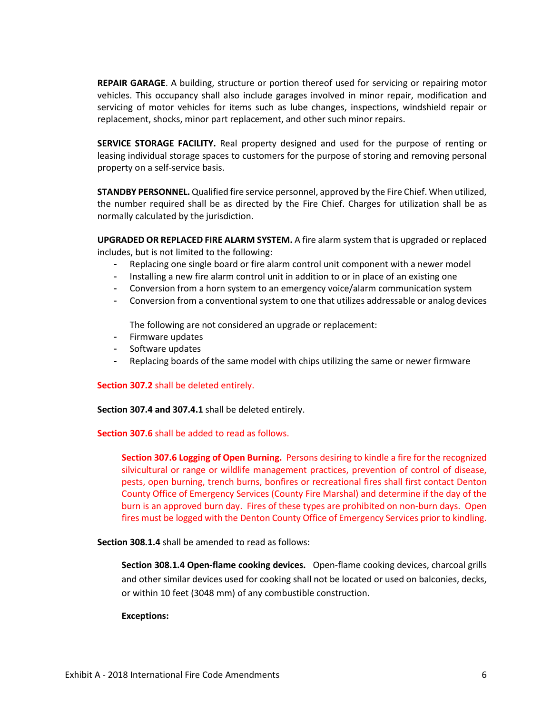**REPAIR GARAGE**. A building, structure or portion thereof used for servicing or repairing motor vehicles. This occupancy shall also include garages involved in minor repair, modification and servicing of motor vehicles for items such as lube changes, inspections, windshield repair or replacement, shocks, minor part replacement, and other such minor repairs.

**SERVICE STORAGE FACILITY.** Real property designed and used for the purpose of renting or leasing individual storage spaces to customers for the purpose of storing and removing personal property on a self-service basis.

**STANDBY PERSONNEL.** Qualified fire service personnel, approved by the Fire Chief. When utilized, the number required shall be as directed by the Fire Chief. Charges for utilization shall be as normally calculated by the jurisdiction.

**UPGRADED OR REPLACED FIRE ALARM SYSTEM.** A fire alarm system that is upgraded or replaced includes, but is not limited to the following:

- Replacing one single board or fire alarm control unit component with a newer model
- Installing a new fire alarm control unit in addition to or in place of an existing one
- Conversion from a horn system to an emergency voice/alarm communication system
- Conversion from a conventional system to one that utilizes addressable or analog devices

The following are not considered an upgrade or replacement:

- Firmware updates
- Software updates
- Replacing boards of the same model with chips utilizing the same or newer firmware

**Section 307.2** shall be deleted entirely.

**Section 307.4 and 307.4.1** shall be deleted entirely.

**Section 307.6** shall be added to read as follows.

**Section 307.6 Logging of Open Burning.** Persons desiring to kindle a fire for the recognized silvicultural or range or wildlife management practices, prevention of control of disease, pests, open burning, trench burns, bonfires or recreational fires shall first contact Denton County Office of Emergency Services (County Fire Marshal) and determine if the day of the burn is an approved burn day. Fires of these types are prohibited on non-burn days. Open fires must be logged with the Denton County Office of Emergency Services prior to kindling.

**Section 308.1.4** shall be amended to read as follows:

**Section 308.1.4 Open-flame cooking devices.** Open-flame cooking devices, charcoal grills and other similar devices used for cooking shall not be located or used on balconies, decks, or within 10 feet (3048 mm) of any combustible construction.

#### **Exceptions:**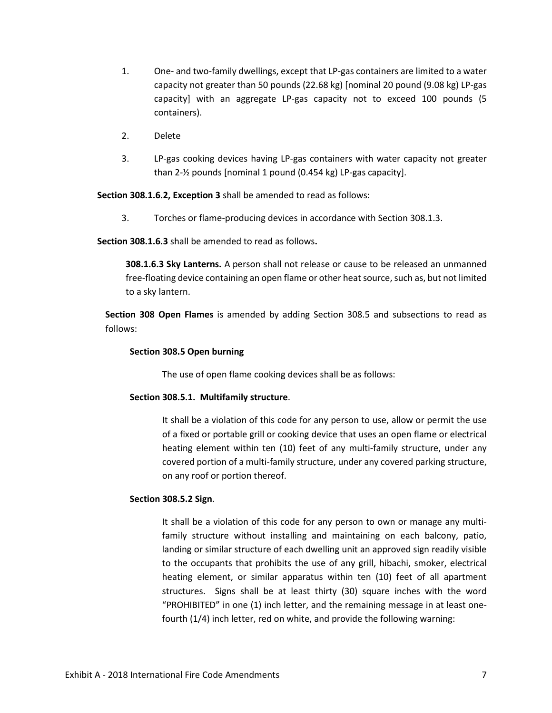- 1. One- and two-family dwellings, except that LP-gas containers are limited to a water capacity not greater than 50 pounds (22.68 kg) [nominal 20 pound (9.08 kg) LP-gas capacity] with an aggregate LP-gas capacity not to exceed 100 pounds (5 containers).
- 2. Delete
- 3. LP-gas cooking devices having LP-gas containers with water capacity not greater than 2-½ pounds [nominal 1 pound (0.454 kg) LP-gas capacity].

**Section 308.1.6.2, Exception 3** shall be amended to read as follows:

3. Torches or flame-producing devices in accordance with Section 308.1.3.

**Section 308.1.6.3** shall be amended to read as follows**.**

**308.1.6.3 Sky Lanterns.** A person shall not release or cause to be released an unmanned free-floating device containing an open flame or other heat source, such as, but not limited to a sky lantern.

**Section 308 Open Flames** is amended by adding Section 308.5 and subsections to read as follows:

## **Section 308.5 Open burning**

The use of open flame cooking devices shall be as follows:

## **Section 308.5.1. Multifamily structure**.

It shall be a violation of this code for any person to use, allow or permit the use of a fixed or portable grill or cooking device that uses an open flame or electrical heating element within ten (10) feet of any multi-family structure, under any covered portion of a multi-family structure, under any covered parking structure, on any roof or portion thereof.

## **Section 308.5.2 Sign**.

It shall be a violation of this code for any person to own or manage any multifamily structure without installing and maintaining on each balcony, patio, landing or similar structure of each dwelling unit an approved sign readily visible to the occupants that prohibits the use of any grill, hibachi, smoker, electrical heating element, or similar apparatus within ten (10) feet of all apartment structures. Signs shall be at least thirty (30) square inches with the word "PROHIBITED" in one (1) inch letter, and the remaining message in at least onefourth (1/4) inch letter, red on white, and provide the following warning: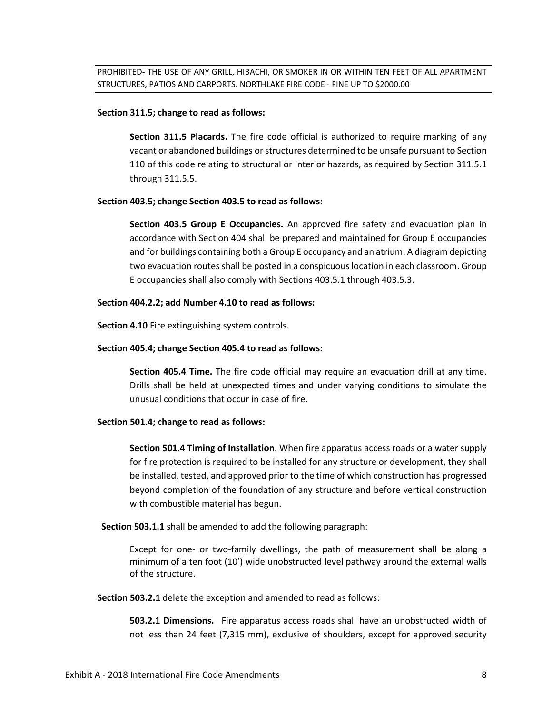PROHIBITED- THE USE OF ANY GRILL, HIBACHI, OR SMOKER IN OR WITHIN TEN FEET OF ALL APARTMENT STRUCTURES, PATIOS AND CARPORTS. NORTHLAKE FIRE CODE - FINE UP TO \$2000.00

#### **Section 311.5; change to read as follows:**

**Section 311.5 Placards.** The fire code official is authorized to require marking of any vacant or abandoned buildings or structures determined to be unsafe pursuant to Section 110 of this code relating to structural or interior hazards, as required by Section 311.5.1 through 311.5.5.

#### **Section 403.5; change Section 403.5 to read as follows:**

**Section 403.5 Group E Occupancies.** An approved fire safety and evacuation plan in accordance with Section 404 shall be prepared and maintained for Group E occupancies and for buildings containing both a Group E occupancy and an atrium. A diagram depicting two evacuation routes shall be posted in a conspicuous location in each classroom. Group E occupancies shall also comply with Sections 403.5.1 through 403.5.3.

#### **Section 404.2.2; add Number 4.10 to read as follows:**

**Section 4.10** Fire extinguishing system controls.

#### **Section 405.4; change Section 405.4 to read as follows:**

**Section 405.4 Time.** The fire code official may require an evacuation drill at any time. Drills shall be held at unexpected times and under varying conditions to simulate the unusual conditions that occur in case of fire.

#### **Section 501.4; change to read as follows:**

**Section 501.4 Timing of Installation**. When fire apparatus access roads or a water supply for fire protection is required to be installed for any structure or development, they shall be installed, tested, and approved prior to the time of which construction has progressed beyond completion of the foundation of any structure and before vertical construction with combustible material has begun.

**Section 503.1.1** shall be amended to add the following paragraph:

Except for one- or two-family dwellings, the path of measurement shall be along a minimum of a ten foot (10') wide unobstructed level pathway around the external walls of the structure.

**Section 503.2.1** delete the exception and amended to read as follows:

**503.2.1 Dimensions.** Fire apparatus access roads shall have an unobstructed width of not less than 24 feet (7,315 mm), exclusive of shoulders, except for approved security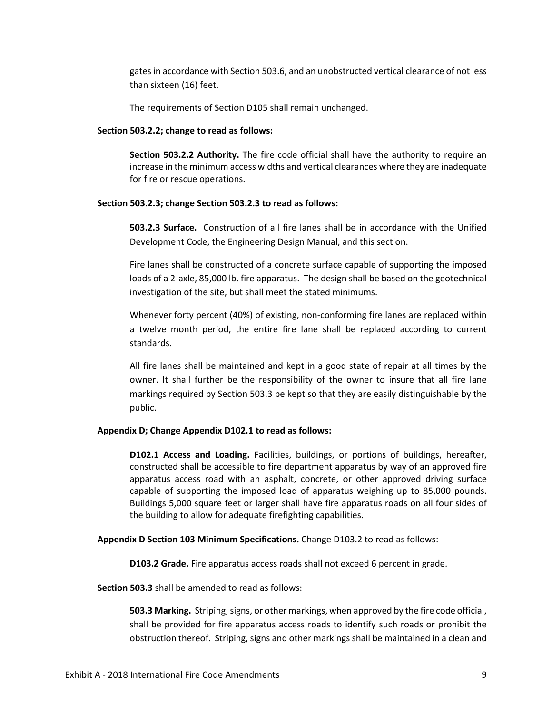gates in accordance with Section 503.6, and an unobstructed vertical clearance of not less than sixteen (16) feet.

The requirements of Section D105 shall remain unchanged.

#### **Section 503.2.2; change to read as follows:**

**Section 503.2.2 Authority.** The fire code official shall have the authority to require an increase in the minimum access widths and vertical clearances where they are inadequate for fire or rescue operations.

#### **Section 503.2.3; change Section 503.2.3 to read as follows:**

**503.2.3 Surface.** Construction of all fire lanes shall be in accordance with the Unified Development Code, the Engineering Design Manual, and this section.

Fire lanes shall be constructed of a concrete surface capable of supporting the imposed loads of a 2-axle, 85,000 lb. fire apparatus. The design shall be based on the geotechnical investigation of the site, but shall meet the stated minimums.

Whenever forty percent (40%) of existing, non-conforming fire lanes are replaced within a twelve month period, the entire fire lane shall be replaced according to current standards.

All fire lanes shall be maintained and kept in a good state of repair at all times by the owner. It shall further be the responsibility of the owner to insure that all fire lane markings required by Section 503.3 be kept so that they are easily distinguishable by the public.

#### **Appendix D; Change Appendix D102.1 to read as follows:**

**D102.1 Access and Loading.** Facilities, buildings, or portions of buildings, hereafter, constructed shall be accessible to fire department apparatus by way of an approved fire apparatus access road with an asphalt, concrete, or other approved driving surface capable of supporting the imposed load of apparatus weighing up to 85,000 pounds. Buildings 5,000 square feet or larger shall have fire apparatus roads on all four sides of the building to allow for adequate firefighting capabilities.

**Appendix D Section 103 Minimum Specifications.** Change D103.2 to read as follows:

**D103.2 Grade.** Fire apparatus access roads shall not exceed 6 percent in grade.

**Section 503.3** shall be amended to read as follows:

**503.3 Marking.** Striping, signs, or other markings, when approved by the fire code official, shall be provided for fire apparatus access roads to identify such roads or prohibit the obstruction thereof. Striping, signs and other markings shall be maintained in a clean and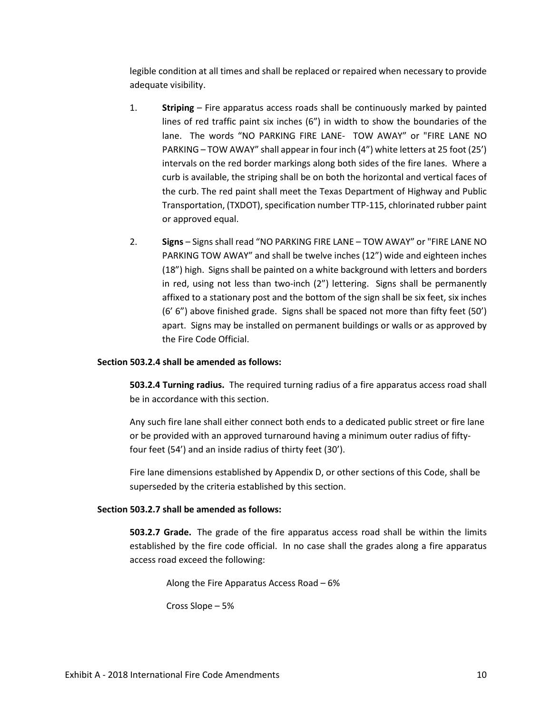legible condition at all times and shall be replaced or repaired when necessary to provide adequate visibility.

- 1. **Striping** Fire apparatus access roads shall be continuously marked by painted lines of red traffic paint six inches (6") in width to show the boundaries of the lane. The words "NO PARKING FIRE LANE- TOW AWAY" or "FIRE LANE NO PARKING – TOW AWAY" shall appear in four inch (4") white letters at 25 foot (25') intervals on the red border markings along both sides of the fire lanes. Where a curb is available, the striping shall be on both the horizontal and vertical faces of the curb. The red paint shall meet the Texas Department of Highway and Public Transportation, (TXDOT), specification number TTP-115, chlorinated rubber paint or approved equal.
- 2. **Signs** Signs shall read "NO PARKING FIRE LANE TOW AWAY" or "FIRE LANE NO PARKING TOW AWAY" and shall be twelve inches (12") wide and eighteen inches (18") high. Signs shall be painted on a white background with letters and borders in red, using not less than two-inch (2") lettering. Signs shall be permanently affixed to a stationary post and the bottom of the sign shall be six feet, six inches (6' 6") above finished grade. Signs shall be spaced not more than fifty feet (50') apart. Signs may be installed on permanent buildings or walls or as approved by the Fire Code Official.

## **Section 503.2.4 shall be amended as follows:**

**503.2.4 Turning radius.** The required turning radius of a fire apparatus access road shall be in accordance with this section.

Any such fire lane shall either connect both ends to a dedicated public street or fire lane or be provided with an approved turnaround having a minimum outer radius of fiftyfour feet (54') and an inside radius of thirty feet (30').

Fire lane dimensions established by Appendix D, or other sections of this Code, shall be superseded by the criteria established by this section.

#### **Section 503.2.7 shall be amended as follows:**

**503.2.7 Grade.** The grade of the fire apparatus access road shall be within the limits established by the fire code official. In no case shall the grades along a fire apparatus access road exceed the following:

Along the Fire Apparatus Access Road – 6%

Cross Slope – 5%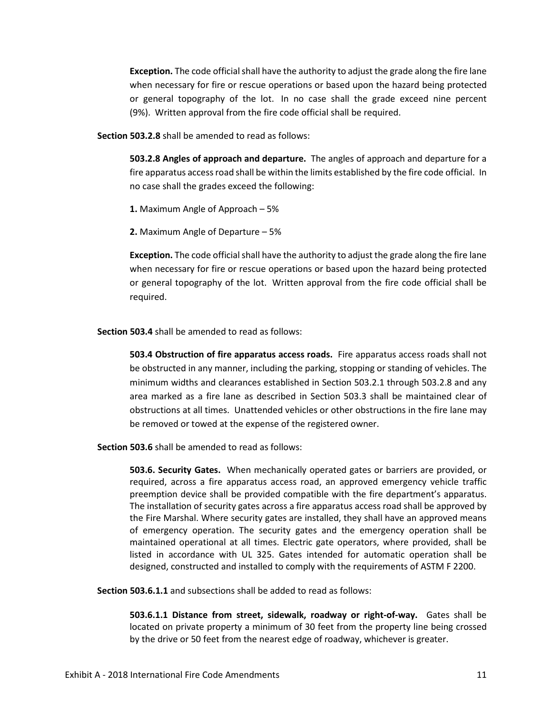**Exception.** The code official shall have the authority to adjust the grade along the fire lane when necessary for fire or rescue operations or based upon the hazard being protected or general topography of the lot. In no case shall the grade exceed nine percent (9%). Written approval from the fire code official shall be required.

**Section 503.2.8** shall be amended to read as follows:

**503.2.8 Angles of approach and departure.** The angles of approach and departure for a fire apparatus access road shall be within the limits established by the fire code official. In no case shall the grades exceed the following:

- **1.** Maximum Angle of Approach 5%
- **2.** Maximum Angle of Departure 5%

**Exception.** The code official shall have the authority to adjust the grade along the fire lane when necessary for fire or rescue operations or based upon the hazard being protected or general topography of the lot. Written approval from the fire code official shall be required.

**Section 503.4** shall be amended to read as follows:

**503.4 Obstruction of fire apparatus access roads.** Fire apparatus access roads shall not be obstructed in any manner, including the parking, stopping or standing of vehicles. The minimum widths and clearances established in Section 503.2.1 through 503.2.8 and any area marked as a fire lane as described in Section 503.3 shall be maintained clear of obstructions at all times. Unattended vehicles or other obstructions in the fire lane may be removed or towed at the expense of the registered owner.

**Section 503.6** shall be amended to read as follows:

**503.6. Security Gates.** When mechanically operated gates or barriers are provided, or required, across a fire apparatus access road, an approved emergency vehicle traffic preemption device shall be provided compatible with the fire department's apparatus. The installation of security gates across a fire apparatus access road shall be approved by the Fire Marshal. Where security gates are installed, they shall have an approved means of emergency operation. The security gates and the emergency operation shall be maintained operational at all times. Electric gate operators, where provided, shall be listed in accordance with UL 325. Gates intended for automatic operation shall be designed, constructed and installed to comply with the requirements of ASTM F 2200.

**Section 503.6.1.1** and subsections shall be added to read as follows:

**503.6.1.1 Distance from street, sidewalk, roadway or right-of-way.** Gates shall be located on private property a minimum of 30 feet from the property line being crossed by the drive or 50 feet from the nearest edge of roadway, whichever is greater.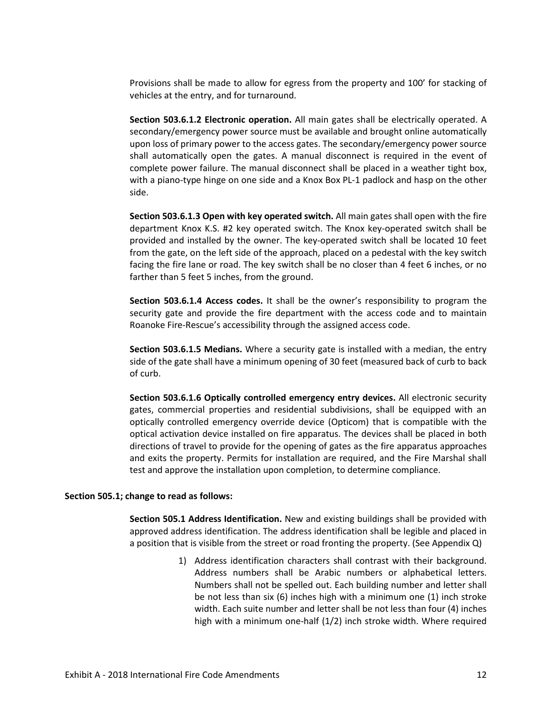Provisions shall be made to allow for egress from the property and 100' for stacking of vehicles at the entry, and for turnaround.

**Section 503.6.1.2 Electronic operation.** All main gates shall be electrically operated. A secondary/emergency power source must be available and brought online automatically upon loss of primary power to the access gates. The secondary/emergency power source shall automatically open the gates. A manual disconnect is required in the event of complete power failure. The manual disconnect shall be placed in a weather tight box, with a piano-type hinge on one side and a Knox Box PL-1 padlock and hasp on the other side.

**Section 503.6.1.3 Open with key operated switch.** All main gates shall open with the fire department Knox K.S. #2 key operated switch. The Knox key-operated switch shall be provided and installed by the owner. The key-operated switch shall be located 10 feet from the gate, on the left side of the approach, placed on a pedestal with the key switch facing the fire lane or road. The key switch shall be no closer than 4 feet 6 inches, or no farther than 5 feet 5 inches, from the ground.

**Section 503.6.1.4 Access codes.** It shall be the owner's responsibility to program the security gate and provide the fire department with the access code and to maintain Roanoke Fire-Rescue's accessibility through the assigned access code.

**Section 503.6.1.5 Medians.** Where a security gate is installed with a median, the entry side of the gate shall have a minimum opening of 30 feet (measured back of curb to back of curb.

**Section 503.6.1.6 Optically controlled emergency entry devices.** All electronic security gates, commercial properties and residential subdivisions, shall be equipped with an optically controlled emergency override device (Opticom) that is compatible with the optical activation device installed on fire apparatus. The devices shall be placed in both directions of travel to provide for the opening of gates as the fire apparatus approaches and exits the property. Permits for installation are required, and the Fire Marshal shall test and approve the installation upon completion, to determine compliance.

#### **Section 505.1; change to read as follows:**

**Section 505.1 Address Identification.** New and existing buildings shall be provided with approved address identification. The address identification shall be legible and placed in a position that is visible from the street or road fronting the property. (See Appendix Q)

> 1) Address identification characters shall contrast with their background. Address numbers shall be Arabic numbers or alphabetical letters. Numbers shall not be spelled out. Each building number and letter shall be not less than six (6) inches high with a minimum one (1) inch stroke width. Each suite number and letter shall be not less than four (4) inches high with a minimum one-half (1/2) inch stroke width. Where required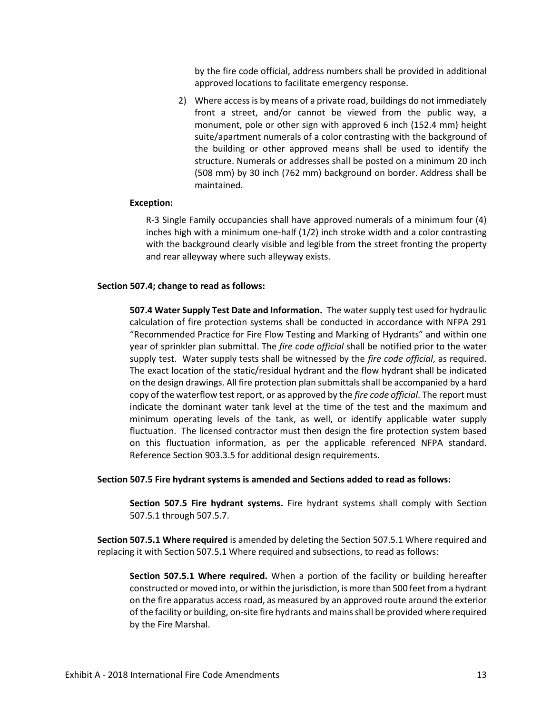by the fire code official, address numbers shall be provided in additional approved locations to facilitate emergency response.

2) Where access is by means of a private road, buildings do not immediately front a street, and/or cannot be viewed from the public way, a monument, pole or other sign with approved 6 inch (152.4 mm) height suite/apartment numerals of a color contrasting with the background of the building or other approved means shall be used to identify the structure. Numerals or addresses shall be posted on a minimum 20 inch (508 mm) by 30 inch (762 mm) background on border. Address shall be maintained.

#### **Exception:**

R-3 Single Family occupancies shall have approved numerals of a minimum four (4) inches high with a minimum one-half (1/2) inch stroke width and a color contrasting with the background clearly visible and legible from the street fronting the property and rear alleyway where such alleyway exists.

#### **Section 507.4; change to read as follows:**

**507.4 Water Supply Test Date and Information.** The water supply test used for hydraulic calculation of fire protection systems shall be conducted in accordance with NFPA 291 "Recommended Practice for Fire Flow Testing and Marking of Hydrants" and within one year of sprinkler plan submittal. The *fire code official* shall be notified prior to the water supply test. Water supply tests shall be witnessed by the *fire code official*, as required. The exact location of the static/residual hydrant and the flow hydrant shall be indicated on the design drawings. All fire protection plan submittals shall be accompanied by a hard copy of the waterflow test report, or as approved by the *fire code official*. The report must indicate the dominant water tank level at the time of the test and the maximum and minimum operating levels of the tank, as well, or identify applicable water supply fluctuation. The licensed contractor must then design the fire protection system based on this fluctuation information, as per the applicable referenced NFPA standard. Reference Section 903.3.5 for additional design requirements.

#### **Section 507.5 Fire hydrant systems is amended and Sections added to read as follows:**

**Section 507.5 Fire hydrant systems.** Fire hydrant systems shall comply with Section 507.5.1 through 507.5.7.

**Section 507.5.1 Where required** is amended by deleting the Section 507.5.1 Where required and replacing it with Section 507.5.1 Where required and subsections, to read as follows:

**Section 507.5.1 Where required.** When a portion of the facility or building hereafter constructed or moved into, or within the jurisdiction, is more than 500 feet from a hydrant on the fire apparatus access road, as measured by an approved route around the exterior of the facility or building, on-site fire hydrants and mains shall be provided where required by the Fire Marshal.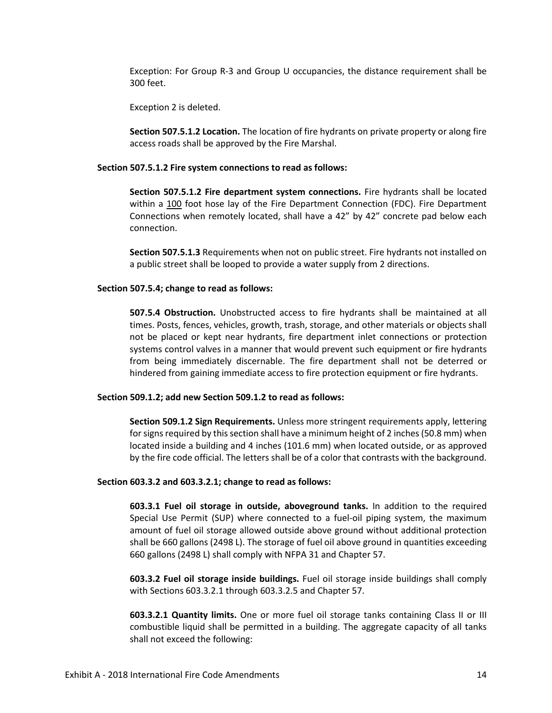Exception: For Group R-3 and Group U occupancies, the distance requirement shall be 300 feet.

Exception 2 is deleted.

**Section 507.5.1.2 Location.** The location of fire hydrants on private property or along fire access roads shall be approved by the Fire Marshal.

#### **Section 507.5.1.2 Fire system connections to read as follows:**

**Section 507.5.1.2 Fire department system connections.** Fire hydrants shall be located within a 100 foot hose lay of the Fire Department Connection (FDC). Fire Department Connections when remotely located, shall have a 42" by 42" concrete pad below each connection.

**Section 507.5.1.3** Requirements when not on public street. Fire hydrants not installed on a public street shall be looped to provide a water supply from 2 directions.

#### **Section 507.5.4; change to read as follows:**

**507.5.4 Obstruction.** Unobstructed access to fire hydrants shall be maintained at all times. Posts, fences, vehicles, growth, trash, storage, and other materials or objects shall not be placed or kept near hydrants, fire department inlet connections or protection systems control valves in a manner that would prevent such equipment or fire hydrants from being immediately discernable. The fire department shall not be deterred or hindered from gaining immediate access to fire protection equipment or fire hydrants.

#### **Section 509.1.2; add new Section 509.1.2 to read as follows:**

**Section 509.1.2 Sign Requirements.** Unless more stringent requirements apply, lettering for signs required by this section shall have a minimum height of 2 inches (50.8 mm) when located inside a building and 4 inches (101.6 mm) when located outside, or as approved by the fire code official. The letters shall be of a color that contrasts with the background.

#### **Section 603.3.2 and 603.3.2.1; change to read as follows:**

**603.3.1 Fuel oil storage in outside, aboveground tanks.** In addition to the required Special Use Permit (SUP) where connected to a fuel-oil piping system, the maximum amount of fuel oil storage allowed outside above ground without additional protection shall be 660 gallons (2498 L). The storage of fuel oil above ground in quantities exceeding 660 gallons (2498 L) shall comply with NFPA 31 and Chapter 57.

**603.3.2 Fuel oil storage inside buildings.** Fuel oil storage inside buildings shall comply with Sections 603.3.2.1 through 603.3.2.5 and Chapter 57.

**603.3.2.1 Quantity limits.** One or more fuel oil storage tanks containing Class II or III combustible liquid shall be permitted in a building. The aggregate capacity of all tanks shall not exceed the following: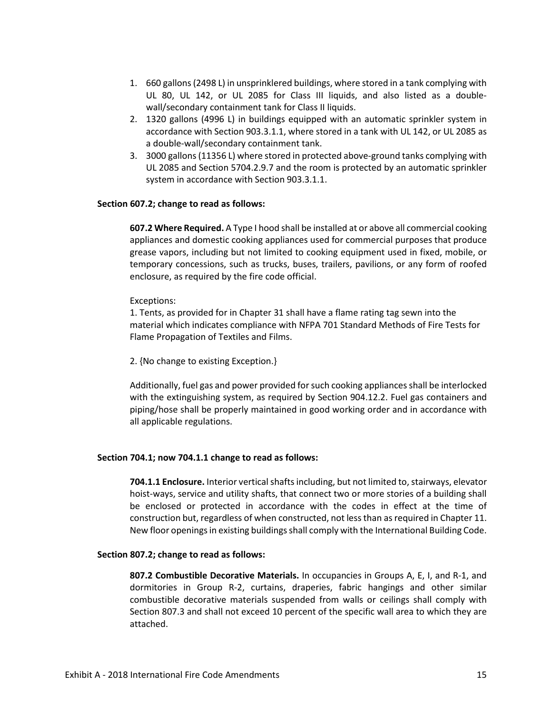- 1. 660 gallons (2498 L) in unsprinklered buildings, where stored in a tank complying with UL 80, UL 142, or UL 2085 for Class III liquids, and also listed as a doublewall/secondary containment tank for Class II liquids.
- 2. 1320 gallons (4996 L) in buildings equipped with an automatic sprinkler system in accordance with Section 903.3.1.1, where stored in a tank with UL 142, or UL 2085 as a double-wall/secondary containment tank.
- 3. 3000 gallons (11356 L) where stored in protected above-ground tanks complying with UL 2085 and Section 5704.2.9.7 and the room is protected by an automatic sprinkler system in accordance with Section 903.3.1.1.

#### **Section 607.2; change to read as follows:**

**607.2 Where Required.** A Type I hood shall be installed at or above all commercial cooking appliances and domestic cooking appliances used for commercial purposes that produce grease vapors, including but not limited to cooking equipment used in fixed, mobile, or temporary concessions, such as trucks, buses, trailers, pavilions, or any form of roofed enclosure, as required by the fire code official.

Exceptions:

1. Tents, as provided for in Chapter 31 shall have a flame rating tag sewn into the material which indicates compliance with NFPA 701 Standard Methods of Fire Tests for Flame Propagation of Textiles and Films.

2. {No change to existing Exception.}

Additionally, fuel gas and power provided for such cooking appliances shall be interlocked with the extinguishing system, as required by Section 904.12.2. Fuel gas containers and piping/hose shall be properly maintained in good working order and in accordance with all applicable regulations.

#### **Section 704.1; now 704.1.1 change to read as follows:**

**704.1.1 Enclosure.** Interior vertical shafts including, but not limited to, stairways, elevator hoist-ways, service and utility shafts, that connect two or more stories of a building shall be enclosed or protected in accordance with the codes in effect at the time of construction but, regardless of when constructed, not less than as required in Chapter 11. New floor openings in existing buildings shall comply with the International Building Code.

#### **Section 807.2; change to read as follows:**

**807.2 Combustible Decorative Materials.** In occupancies in Groups A, E, I, and R-1, and dormitories in Group R-2, curtains, draperies, fabric hangings and other similar combustible decorative materials suspended from walls or ceilings shall comply with Section 807.3 and shall not exceed 10 percent of the specific wall area to which they are attached.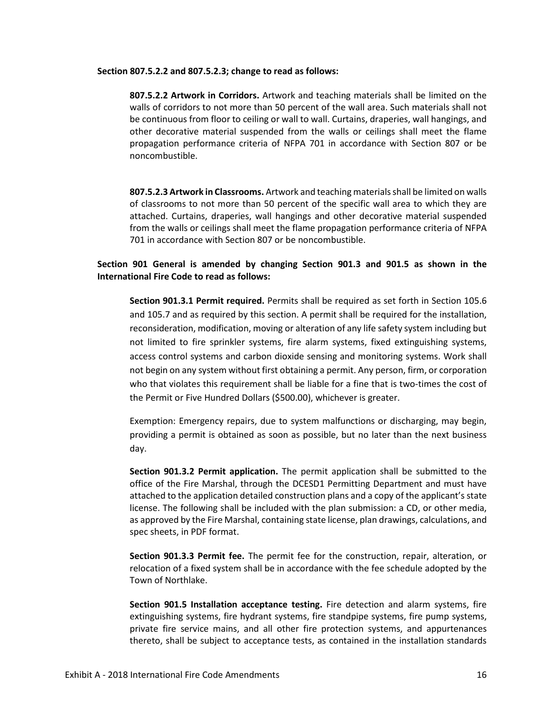#### **Section 807.5.2.2 and 807.5.2.3; change to read as follows:**

**807.5.2.2 Artwork in Corridors.** Artwork and teaching materials shall be limited on the walls of corridors to not more than 50 percent of the wall area. Such materials shall not be continuous from floor to ceiling or wall to wall. Curtains, draperies, wall hangings, and other decorative material suspended from the walls or ceilings shall meet the flame propagation performance criteria of NFPA 701 in accordance with Section 807 or be noncombustible.

**807.5.2.3 Artwork in Classrooms.** Artwork and teaching materials shall be limited on walls of classrooms to not more than 50 percent of the specific wall area to which they are attached. Curtains, draperies, wall hangings and other decorative material suspended from the walls or ceilings shall meet the flame propagation performance criteria of NFPA 701 in accordance with Section 807 or be noncombustible.

## **Section 901 General is amended by changing Section 901.3 and 901.5 as shown in the International Fire Code to read as follows:**

**Section 901.3.1 Permit required.** Permits shall be required as set forth in Section 105.6 and 105.7 and as required by this section. A permit shall be required for the installation, reconsideration, modification, moving or alteration of any life safety system including but not limited to fire sprinkler systems, fire alarm systems, fixed extinguishing systems, access control systems and carbon dioxide sensing and monitoring systems. Work shall not begin on any system without first obtaining a permit. Any person, firm, or corporation who that violates this requirement shall be liable for a fine that is two-times the cost of the Permit or Five Hundred Dollars (\$500.00), whichever is greater.

Exemption: Emergency repairs, due to system malfunctions or discharging, may begin, providing a permit is obtained as soon as possible, but no later than the next business day.

**Section 901.3.2 Permit application.** The permit application shall be submitted to the office of the Fire Marshal, through the DCESD1 Permitting Department and must have attached to the application detailed construction plans and a copy of the applicant's state license. The following shall be included with the plan submission: a CD, or other media, as approved by the Fire Marshal, containing state license, plan drawings, calculations, and spec sheets, in PDF format.

**Section 901.3.3 Permit fee.** The permit fee for the construction, repair, alteration, or relocation of a fixed system shall be in accordance with the fee schedule adopted by the Town of Northlake.

**Section 901.5 Installation acceptance testing.** Fire detection and alarm systems, fire extinguishing systems, fire hydrant systems, fire standpipe systems, fire pump systems, private fire service mains, and all other fire protection systems, and appurtenances thereto, shall be subject to acceptance tests, as contained in the installation standards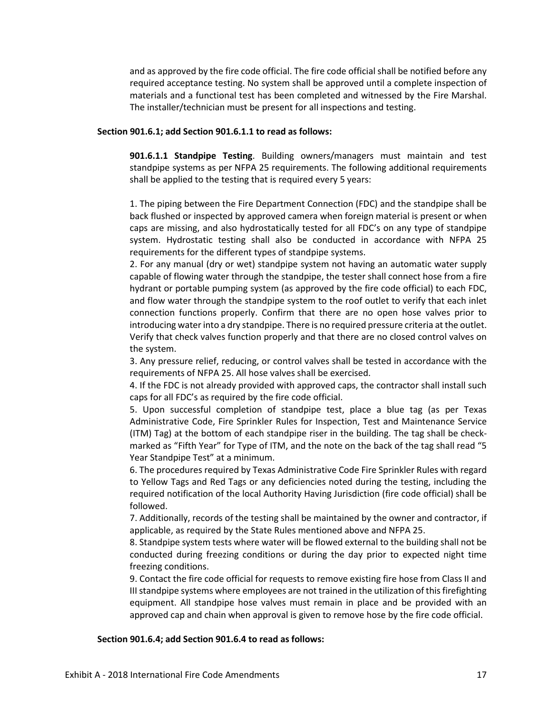and as approved by the fire code official. The fire code official shall be notified before any required acceptance testing. No system shall be approved until a complete inspection of materials and a functional test has been completed and witnessed by the Fire Marshal. The installer/technician must be present for all inspections and testing.

#### **Section 901.6.1; add Section 901.6.1.1 to read as follows:**

**901.6.1.1 Standpipe Testing**. Building owners/managers must maintain and test standpipe systems as per NFPA 25 requirements. The following additional requirements shall be applied to the testing that is required every 5 years:

1. The piping between the Fire Department Connection (FDC) and the standpipe shall be back flushed or inspected by approved camera when foreign material is present or when caps are missing, and also hydrostatically tested for all FDC's on any type of standpipe system. Hydrostatic testing shall also be conducted in accordance with NFPA 25 requirements for the different types of standpipe systems.

2. For any manual (dry or wet) standpipe system not having an automatic water supply capable of flowing water through the standpipe, the tester shall connect hose from a fire hydrant or portable pumping system (as approved by the fire code official) to each FDC, and flow water through the standpipe system to the roof outlet to verify that each inlet connection functions properly. Confirm that there are no open hose valves prior to introducing water into a dry standpipe. There is no required pressure criteria at the outlet. Verify that check valves function properly and that there are no closed control valves on the system.

3. Any pressure relief, reducing, or control valves shall be tested in accordance with the requirements of NFPA 25. All hose valves shall be exercised.

4. If the FDC is not already provided with approved caps, the contractor shall install such caps for all FDC's as required by the fire code official.

5. Upon successful completion of standpipe test, place a blue tag (as per Texas Administrative Code, Fire Sprinkler Rules for Inspection, Test and Maintenance Service (ITM) Tag) at the bottom of each standpipe riser in the building. The tag shall be checkmarked as "Fifth Year" for Type of ITM, and the note on the back of the tag shall read "5 Year Standpipe Test" at a minimum.

6. The procedures required by Texas Administrative Code Fire Sprinkler Rules with regard to Yellow Tags and Red Tags or any deficiencies noted during the testing, including the required notification of the local Authority Having Jurisdiction (fire code official) shall be followed.

7. Additionally, records of the testing shall be maintained by the owner and contractor, if applicable, as required by the State Rules mentioned above and NFPA 25.

8. Standpipe system tests where water will be flowed external to the building shall not be conducted during freezing conditions or during the day prior to expected night time freezing conditions.

9. Contact the fire code official for requests to remove existing fire hose from Class II and III standpipe systems where employees are not trained in the utilization of this firefighting equipment. All standpipe hose valves must remain in place and be provided with an approved cap and chain when approval is given to remove hose by the fire code official.

#### **Section 901.6.4; add Section 901.6.4 to read as follows:**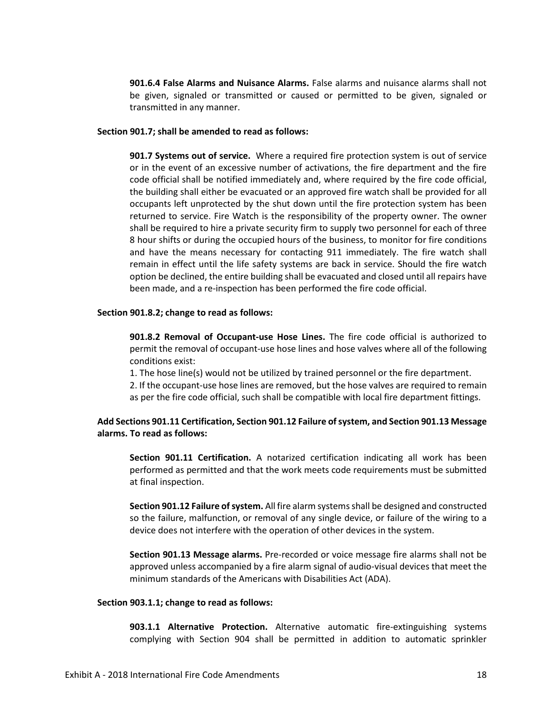**901.6.4 False Alarms and Nuisance Alarms.** False alarms and nuisance alarms shall not be given, signaled or transmitted or caused or permitted to be given, signaled or transmitted in any manner.

#### **Section 901.7; shall be amended to read as follows:**

**901.7 Systems out of service.** Where a required fire protection system is out of service or in the event of an excessive number of activations, the fire department and the fire code official shall be notified immediately and, where required by the fire code official, the building shall either be evacuated or an approved fire watch shall be provided for all occupants left unprotected by the shut down until the fire protection system has been returned to service. Fire Watch is the responsibility of the property owner. The owner shall be required to hire a private security firm to supply two personnel for each of three 8 hour shifts or during the occupied hours of the business, to monitor for fire conditions and have the means necessary for contacting 911 immediately. The fire watch shall remain in effect until the life safety systems are back in service. Should the fire watch option be declined, the entire building shall be evacuated and closed until all repairs have been made, and a re-inspection has been performed the fire code official.

#### **Section 901.8.2; change to read as follows:**

**901.8.2 Removal of Occupant-use Hose Lines.** The fire code official is authorized to permit the removal of occupant-use hose lines and hose valves where all of the following conditions exist:

1. The hose line(s) would not be utilized by trained personnel or the fire department.

2. If the occupant-use hose lines are removed, but the hose valves are required to remain as per the fire code official, such shall be compatible with local fire department fittings.

## **Add Sections 901.11 Certification, Section 901.12 Failure of system, and Section 901.13 Message alarms. To read as follows:**

**Section 901.11 Certification.** A notarized certification indicating all work has been performed as permitted and that the work meets code requirements must be submitted at final inspection.

**Section 901.12 Failure of system.** All fire alarm systems shall be designed and constructed so the failure, malfunction, or removal of any single device, or failure of the wiring to a device does not interfere with the operation of other devices in the system.

**Section 901.13 Message alarms.** Pre-recorded or voice message fire alarms shall not be approved unless accompanied by a fire alarm signal of audio-visual devices that meet the minimum standards of the Americans with Disabilities Act (ADA).

#### **Section 903.1.1; change to read as follows:**

**903.1.1 Alternative Protection.** Alternative automatic fire-extinguishing systems complying with Section 904 shall be permitted in addition to automatic sprinkler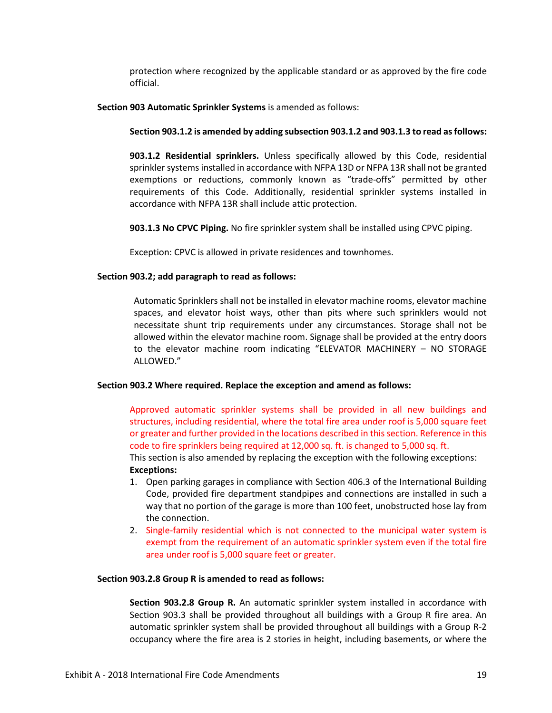protection where recognized by the applicable standard or as approved by the fire code official.

**Section 903 Automatic Sprinkler Systems** is amended as follows:

## **Section 903.1.2 is amended by adding subsection 903.1.2 and 903.1.3 to read as follows:**

**903.1.2 Residential sprinklers.** Unless specifically allowed by this Code, residential sprinkler systems installed in accordance with NFPA 13D or NFPA 13R shall not be granted exemptions or reductions, commonly known as "trade-offs" permitted by other requirements of this Code. Additionally, residential sprinkler systems installed in accordance with NFPA 13R shall include attic protection.

**903.1.3 No CPVC Piping.** No fire sprinkler system shall be installed using CPVC piping.

Exception: CPVC is allowed in private residences and townhomes.

## **Section 903.2; add paragraph to read as follows:**

Automatic Sprinklers shall not be installed in elevator machine rooms, elevator machine spaces, and elevator hoist ways, other than pits where such sprinklers would not necessitate shunt trip requirements under any circumstances. Storage shall not be allowed within the elevator machine room. Signage shall be provided at the entry doors to the elevator machine room indicating "ELEVATOR MACHINERY – NO STORAGE ALLOWED."

#### **Section 903.2 Where required. Replace the exception and amend as follows:**

Approved automatic sprinkler systems shall be provided in all new buildings and structures, including residential, where the total fire area under roof is 5,000 square feet or greater and further provided in the locations described in this section. Reference in this code to fire sprinklers being required at 12,000 sq. ft. is changed to 5,000 sq. ft.

This section is also amended by replacing the exception with the following exceptions: **Exceptions:**

- 1. Open parking garages in compliance with Section 406.3 of the International Building Code, provided fire department standpipes and connections are installed in such a way that no portion of the garage is more than 100 feet, unobstructed hose lay from the connection.
- 2. Single-family residential which is not connected to the municipal water system is exempt from the requirement of an automatic sprinkler system even if the total fire area under roof is 5,000 square feet or greater.

#### **Section 903.2.8 Group R is amended to read as follows:**

**Section 903.2.8 Group R.** An automatic sprinkler system installed in accordance with Section 903.3 shall be provided throughout all buildings with a Group R fire area. An automatic sprinkler system shall be provided throughout all buildings with a Group R-2 occupancy where the fire area is 2 stories in height, including basements, or where the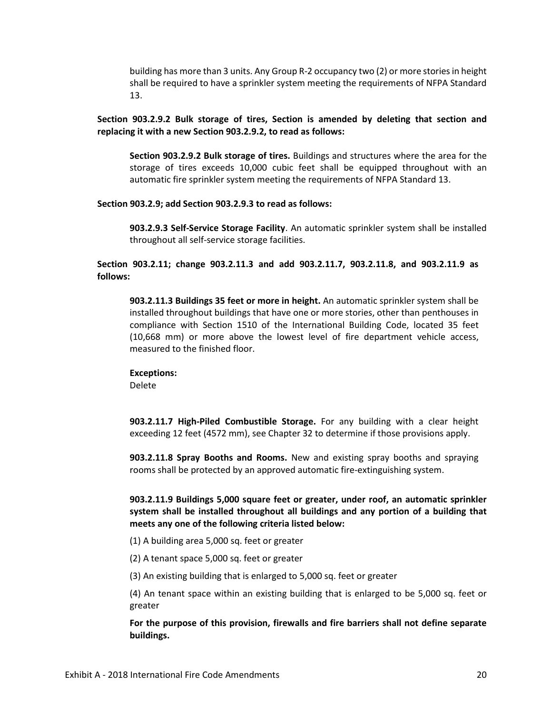building has more than 3 units. Any Group R-2 occupancy two (2) or more stories in height shall be required to have a sprinkler system meeting the requirements of NFPA Standard 13.

**Section 903.2.9.2 Bulk storage of tires, Section is amended by deleting that section and replacing it with a new Section 903.2.9.2, to read as follows:**

**Section 903.2.9.2 Bulk storage of tires.** Buildings and structures where the area for the storage of tires exceeds 10,000 cubic feet shall be equipped throughout with an automatic fire sprinkler system meeting the requirements of NFPA Standard 13.

**Section 903.2.9; add Section 903.2.9.3 to read as follows:** 

**903.2.9.3 Self-Service Storage Facility**. An automatic sprinkler system shall be installed throughout all self-service storage facilities.

**Section 903.2.11; change 903.2.11.3 and add 903.2.11.7, 903.2.11.8, and 903.2.11.9 as follows:** 

**903.2.11.3 Buildings 35 feet or more in height.** An automatic sprinkler system shall be installed throughout buildings that have one or more stories, other than penthouses in compliance with Section 1510 of the International Building Code, located 35 feet (10,668 mm) or more above the lowest level of fire department vehicle access, measured to the finished floor.

#### **Exceptions:**

Delete

**903.2.11.7 High-Piled Combustible Storage.** For any building with a clear height exceeding 12 feet (4572 mm), see Chapter 32 to determine if those provisions apply.

**903.2.11.8 Spray Booths and Rooms.** New and existing spray booths and spraying rooms shall be protected by an approved automatic fire-extinguishing system.

**903.2.11.9 Buildings 5,000 square feet or greater, under roof, an automatic sprinkler system shall be installed throughout all buildings and any portion of a building that meets any one of the following criteria listed below:**

(1) A building area 5,000 sq. feet or greater

(2) A tenant space 5,000 sq. feet or greater

(3) An existing building that is enlarged to 5,000 sq. feet or greater

(4) An tenant space within an existing building that is enlarged to be 5,000 sq. feet or greater

**For the purpose of this provision, firewalls and fire barriers shall not define separate buildings.**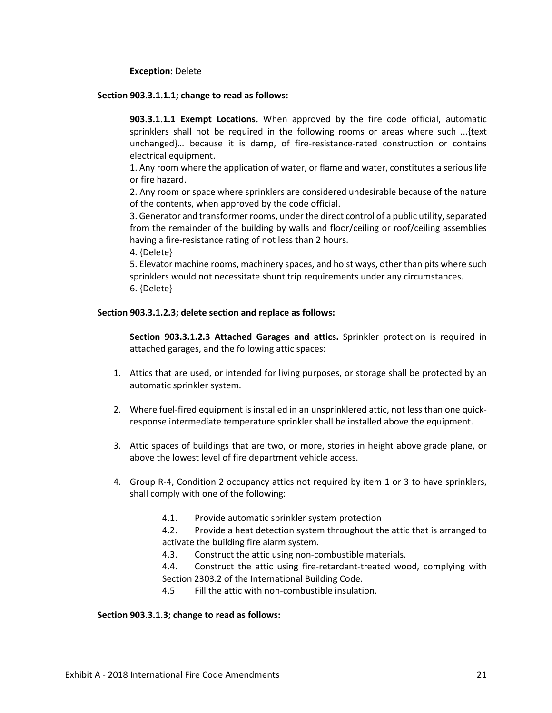**Exception:** Delete

## **Section 903.3.1.1.1; change to read as follows:**

**903.3.1.1.1 Exempt Locations.** When approved by the fire code official, automatic sprinklers shall not be required in the following rooms or areas where such ...{text unchanged}… because it is damp, of fire-resistance-rated construction or contains electrical equipment.

1. Any room where the application of water, or flame and water, constitutes a serious life or fire hazard.

2. Any room or space where sprinklers are considered undesirable because of the nature of the contents, when approved by the code official.

3. Generator and transformer rooms, under the direct control of a public utility, separated from the remainder of the building by walls and floor/ceiling or roof/ceiling assemblies having a fire-resistance rating of not less than 2 hours.

4. {Delete}

5. Elevator machine rooms, machinery spaces, and hoist ways, other than pits where such sprinklers would not necessitate shunt trip requirements under any circumstances. 6. {Delete}

## **Section 903.3.1.2.3; delete section and replace as follows:**

**Section 903.3.1.2.3 Attached Garages and attics.** Sprinkler protection is required in attached garages, and the following attic spaces:

- 1. Attics that are used, or intended for living purposes, or storage shall be protected by an automatic sprinkler system.
- 2. Where fuel-fired equipment is installed in an unsprinklered attic, not less than one quickresponse intermediate temperature sprinkler shall be installed above the equipment.
- 3. Attic spaces of buildings that are two, or more, stories in height above grade plane, or above the lowest level of fire department vehicle access.
- 4. Group R-4, Condition 2 occupancy attics not required by item 1 or 3 to have sprinklers, shall comply with one of the following:
	- 4.1. Provide automatic sprinkler system protection

4.2. Provide a heat detection system throughout the attic that is arranged to activate the building fire alarm system.

- 4.3. Construct the attic using non-combustible materials.
- 4.4. Construct the attic using fire-retardant-treated wood, complying with Section 2303.2 of the International Building Code.
- 4.5 Fill the attic with non-combustible insulation.

## **Section 903.3.1.3; change to read as follows:**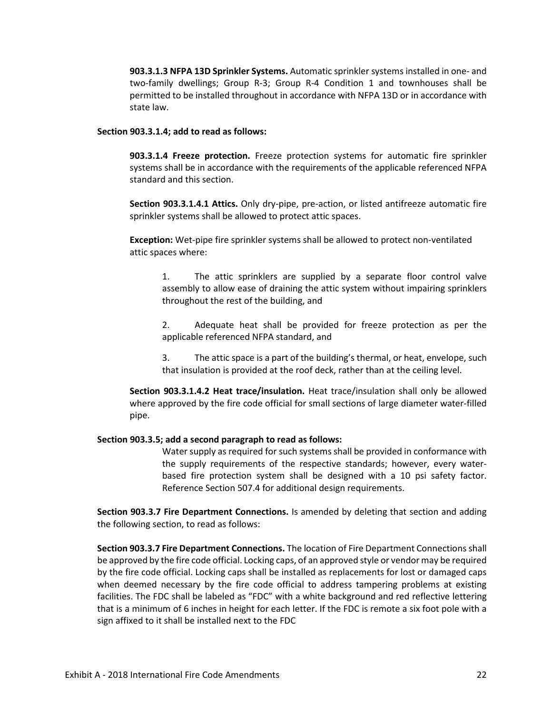**903.3.1.3 NFPA 13D Sprinkler Systems.** Automatic sprinkler systems installed in one- and two-family dwellings; Group R-3; Group R-4 Condition 1 and townhouses shall be permitted to be installed throughout in accordance with NFPA 13D or in accordance with state law.

#### **Section 903.3.1.4; add to read as follows:**

**903.3.1.4 Freeze protection.** Freeze protection systems for automatic fire sprinkler systems shall be in accordance with the requirements of the applicable referenced NFPA standard and this section.

**Section 903.3.1.4.1 Attics.** Only dry-pipe, pre-action, or listed antifreeze automatic fire sprinkler systems shall be allowed to protect attic spaces.

**Exception:** Wet-pipe fire sprinkler systems shall be allowed to protect non-ventilated attic spaces where:

1. The attic sprinklers are supplied by a separate floor control valve assembly to allow ease of draining the attic system without impairing sprinklers throughout the rest of the building, and

2. Adequate heat shall be provided for freeze protection as per the applicable referenced NFPA standard, and

3. The attic space is a part of the building's thermal, or heat, envelope, such that insulation is provided at the roof deck, rather than at the ceiling level.

**Section 903.3.1.4.2 Heat trace/insulation.** Heat trace/insulation shall only be allowed where approved by the fire code official for small sections of large diameter water-filled pipe.

#### **Section 903.3.5; add a second paragraph to read as follows:**

Water supply as required for such systems shall be provided in conformance with the supply requirements of the respective standards; however, every waterbased fire protection system shall be designed with a 10 psi safety factor. Reference Section 507.4 for additional design requirements.

**Section 903.3.7 Fire Department Connections.** Is amended by deleting that section and adding the following section, to read as follows:

**Section 903.3.7 Fire Department Connections.** The location of Fire Department Connections shall be approved by the fire code official. Locking caps, of an approved style or vendor may be required by the fire code official. Locking caps shall be installed as replacements for lost or damaged caps when deemed necessary by the fire code official to address tampering problems at existing facilities. The FDC shall be labeled as "FDC" with a white background and red reflective lettering that is a minimum of 6 inches in height for each letter. If the FDC is remote a six foot pole with a sign affixed to it shall be installed next to the FDC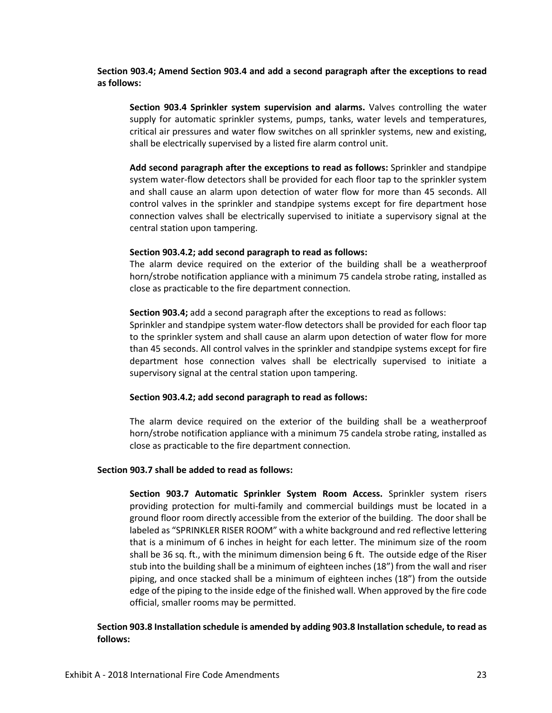**Section 903.4; Amend Section 903.4 and add a second paragraph after the exceptions to read as follows:** 

**Section 903.4 Sprinkler system supervision and alarms.** Valves controlling the water supply for automatic sprinkler systems, pumps, tanks, water levels and temperatures, critical air pressures and water flow switches on all sprinkler systems, new and existing, shall be electrically supervised by a listed fire alarm control unit.

**Add second paragraph after the exceptions to read as follows:** Sprinkler and standpipe system water-flow detectors shall be provided for each floor tap to the sprinkler system and shall cause an alarm upon detection of water flow for more than 45 seconds. All control valves in the sprinkler and standpipe systems except for fire department hose connection valves shall be electrically supervised to initiate a supervisory signal at the central station upon tampering.

#### **Section 903.4.2; add second paragraph to read as follows:**

The alarm device required on the exterior of the building shall be a weatherproof horn/strobe notification appliance with a minimum 75 candela strobe rating, installed as close as practicable to the fire department connection.

#### **Section 903.4;** add a second paragraph after the exceptions to read as follows:

Sprinkler and standpipe system water-flow detectors shall be provided for each floor tap to the sprinkler system and shall cause an alarm upon detection of water flow for more than 45 seconds. All control valves in the sprinkler and standpipe systems except for fire department hose connection valves shall be electrically supervised to initiate a supervisory signal at the central station upon tampering.

#### **Section 903.4.2; add second paragraph to read as follows:**

The alarm device required on the exterior of the building shall be a weatherproof horn/strobe notification appliance with a minimum 75 candela strobe rating, installed as close as practicable to the fire department connection.

#### **Section 903.7 shall be added to read as follows:**

**Section 903.7 Automatic Sprinkler System Room Access.** Sprinkler system risers providing protection for multi-family and commercial buildings must be located in a ground floor room directly accessible from the exterior of the building. The door shall be labeled as "SPRINKLER RISER ROOM" with a white background and red reflective lettering that is a minimum of 6 inches in height for each letter. The minimum size of the room shall be 36 sq. ft., with the minimum dimension being 6 ft. The outside edge of the Riser stub into the building shall be a minimum of eighteen inches (18") from the wall and riser piping, and once stacked shall be a minimum of eighteen inches (18") from the outside edge of the piping to the inside edge of the finished wall. When approved by the fire code official, smaller rooms may be permitted.

## **Section 903.8 Installation schedule is amended by adding 903.8 Installation schedule, to read as follows:**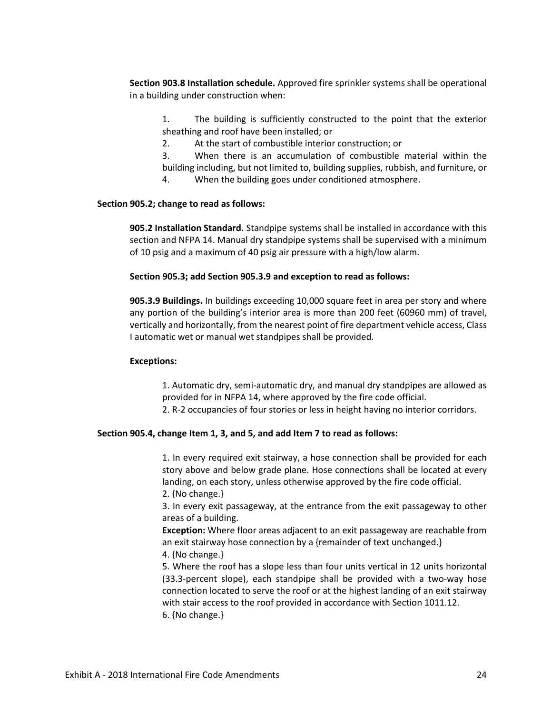**Section 903.8 Installation schedule.** Approved fire sprinkler systems shall be operational in a building under construction when:

1. The building is sufficiently constructed to the point that the exterior sheathing and roof have been installed; or

2. At the start of combustible interior construction; or

3. When there is an accumulation of combustible material within the building including, but not limited to, building supplies, rubbish, and furniture, or

4. When the building goes under conditioned atmosphere.

#### **Section 905.2; change to read as follows:**

**905.2 Installation Standard.** Standpipe systems shall be installed in accordance with this section and NFPA 14. Manual dry standpipe systems shall be supervised with a minimum of 10 psig and a maximum of 40 psig air pressure with a high/low alarm.

## **Section 905.3; add Section 905.3.9 and exception to read as follows:**

**905.3.9 Buildings.** In buildings exceeding 10,000 square feet in area per story and where any portion of the building's interior area is more than 200 feet (60960 mm) of travel, vertically and horizontally, from the nearest point of fire department vehicle access, Class I automatic wet or manual wet standpipes shall be provided.

#### **Exceptions:**

1. Automatic dry, semi-automatic dry, and manual dry standpipes are allowed as provided for in NFPA 14, where approved by the fire code official. 2. R-2 occupancies of four stories or less in height having no interior corridors.

## **Section 905.4, change Item 1, 3, and 5, and add Item 7 to read as follows:**

1. In every required exit stairway, a hose connection shall be provided for each story above and below grade plane. Hose connections shall be located at every landing, on each story, unless otherwise approved by the fire code official.

#### 2. {No change.}

3. In every exit passageway, at the entrance from the exit passageway to other areas of a building.

**Exception:** Where floor areas adjacent to an exit passageway are reachable from an exit stairway hose connection by a {remainder of text unchanged.}

4. {No change.}

5. Where the roof has a slope less than four units vertical in 12 units horizontal (33.3-percent slope), each standpipe shall be provided with a two-way hose connection located to serve the roof or at the highest landing of an exit stairway with stair access to the roof provided in accordance with Section 1011.12. 6. {No change.}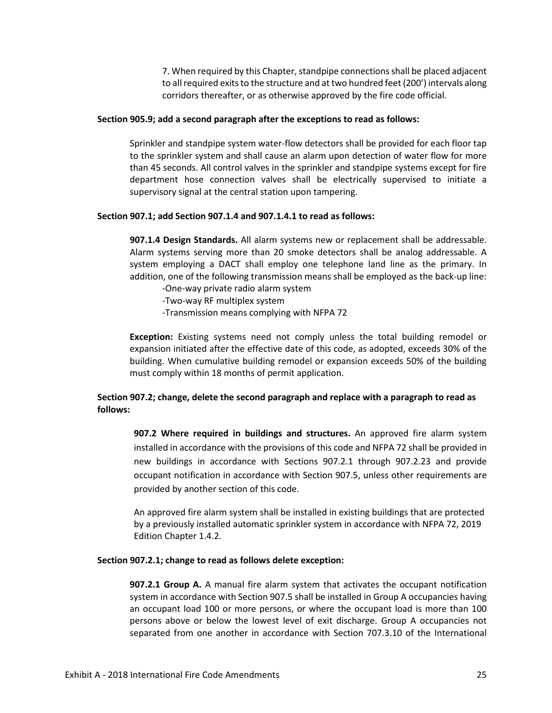7. When required by this Chapter, standpipe connections shall be placed adjacent to all required exits to the structure and at two hundred feet (200') intervals along corridors thereafter, or as otherwise approved by the fire code official.

#### **Section 905.9; add a second paragraph after the exceptions to read as follows:**

Sprinkler and standpipe system water-flow detectors shall be provided for each floor tap to the sprinkler system and shall cause an alarm upon detection of water flow for more than 45 seconds. All control valves in the sprinkler and standpipe systems except for fire department hose connection valves shall be electrically supervised to initiate a supervisory signal at the central station upon tampering.

#### **Section 907.1; add Section 907.1.4 and 907.1.4.1 to read as follows:**

**907.1.4 Design Standards.** All alarm systems new or replacement shall be addressable. Alarm systems serving more than 20 smoke detectors shall be analog addressable. A system employing a DACT shall employ one telephone land line as the primary. In addition, one of the following transmission means shall be employed as the back-up line:

- -One-way private radio alarm system
- -Two-way RF multiplex system
- -Transmission means complying with NFPA 72

**Exception:** Existing systems need not comply unless the total building remodel or expansion initiated after the effective date of this code, as adopted, exceeds 30% of the building. When cumulative building remodel or expansion exceeds 50% of the building must comply within 18 months of permit application.

## **Section 907.2; change, delete the second paragraph and replace with a paragraph to read as follows:**

**907.2 Where required in buildings and structures.** An approved fire alarm system installed in accordance with the provisions of this code and NFPA 72 shall be provided in new buildings in accordance with Sections 907.2.1 through 907.2.23 and provide occupant notification in accordance with Section 907.5, unless other requirements are provided by another section of this code.

An approved fire alarm system shall be installed in existing buildings that are protected by a previously installed automatic sprinkler system in accordance with NFPA 72, 2019 Edition Chapter 1.4.2.

#### **Section 907.2.1; change to read as follows delete exception:**

**907.2.1 Group A.** A manual fire alarm system that activates the occupant notification system in accordance with Section 907.5 shall be installed in Group A occupancies having an occupant load 100 or more persons, or where the occupant load is more than 100 persons above or below the lowest level of exit discharge. Group A occupancies not separated from one another in accordance with Section 707.3.10 of the International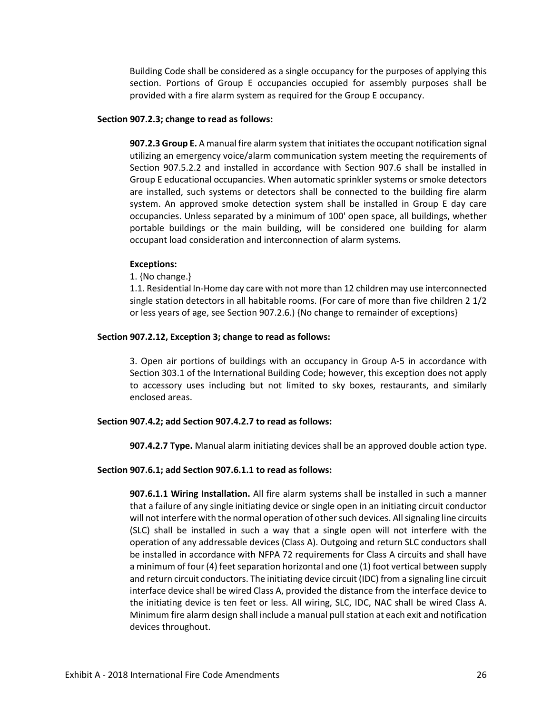Building Code shall be considered as a single occupancy for the purposes of applying this section. Portions of Group E occupancies occupied for assembly purposes shall be provided with a fire alarm system as required for the Group E occupancy.

#### **Section 907.2.3; change to read as follows:**

**907.2.3 Group E.** A manual fire alarm system that initiates the occupant notification signal utilizing an emergency voice/alarm communication system meeting the requirements of Section 907.5.2.2 and installed in accordance with Section 907.6 shall be installed in Group E educational occupancies. When automatic sprinkler systems or smoke detectors are installed, such systems or detectors shall be connected to the building fire alarm system. An approved smoke detection system shall be installed in Group E day care occupancies. Unless separated by a minimum of 100' open space, all buildings, whether portable buildings or the main building, will be considered one building for alarm occupant load consideration and interconnection of alarm systems.

## **Exceptions:**

1. {No change.}

1.1. Residential In-Home day care with not more than 12 children may use interconnected single station detectors in all habitable rooms. (For care of more than five children 2 1/2 or less years of age, see Section 907.2.6.) {No change to remainder of exceptions}

## **Section 907.2.12, Exception 3; change to read as follows:**

3. Open air portions of buildings with an occupancy in Group A-5 in accordance with Section 303.1 of the International Building Code; however, this exception does not apply to accessory uses including but not limited to sky boxes, restaurants, and similarly enclosed areas.

## **Section 907.4.2; add Section 907.4.2.7 to read as follows:**

**907.4.2.7 Type.** Manual alarm initiating devices shall be an approved double action type.

## **Section 907.6.1; add Section 907.6.1.1 to read as follows:**

**907.6.1.1 Wiring Installation.** All fire alarm systems shall be installed in such a manner that a failure of any single initiating device or single open in an initiating circuit conductor will not interfere with the normal operation of other such devices. All signaling line circuits (SLC) shall be installed in such a way that a single open will not interfere with the operation of any addressable devices (Class A). Outgoing and return SLC conductors shall be installed in accordance with NFPA 72 requirements for Class A circuits and shall have a minimum of four (4) feet separation horizontal and one (1) foot vertical between supply and return circuit conductors. The initiating device circuit (IDC) from a signaling line circuit interface device shall be wired Class A, provided the distance from the interface device to the initiating device is ten feet or less. All wiring, SLC, IDC, NAC shall be wired Class A. Minimum fire alarm design shall include a manual pull station at each exit and notification devices throughout.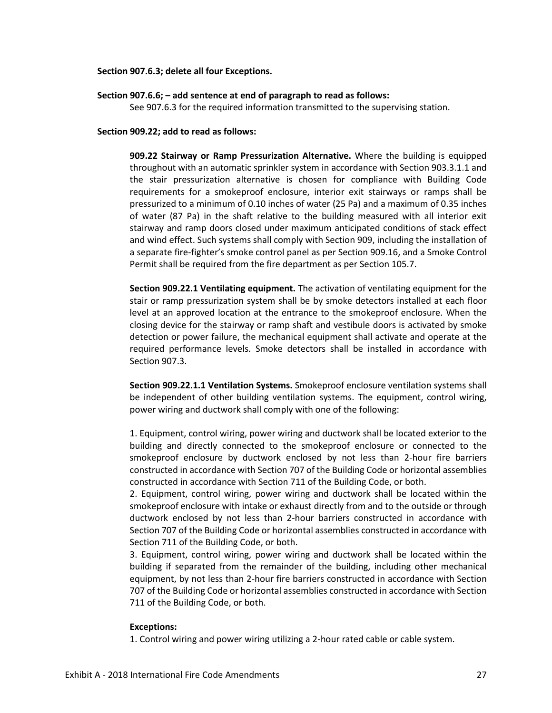#### **Section 907.6.3; delete all four Exceptions.**

**Section 907.6.6; – add sentence at end of paragraph to read as follows:** 

See 907.6.3 for the required information transmitted to the supervising station.

#### **Section 909.22; add to read as follows:**

**909.22 Stairway or Ramp Pressurization Alternative.** Where the building is equipped throughout with an automatic sprinkler system in accordance with Section 903.3.1.1 and the stair pressurization alternative is chosen for compliance with Building Code requirements for a smokeproof enclosure, interior exit stairways or ramps shall be pressurized to a minimum of 0.10 inches of water (25 Pa) and a maximum of 0.35 inches of water (87 Pa) in the shaft relative to the building measured with all interior exit stairway and ramp doors closed under maximum anticipated conditions of stack effect and wind effect. Such systems shall comply with Section 909, including the installation of a separate fire-fighter's smoke control panel as per Section 909.16, and a Smoke Control Permit shall be required from the fire department as per Section 105.7.

**Section 909.22.1 Ventilating equipment.** The activation of ventilating equipment for the stair or ramp pressurization system shall be by smoke detectors installed at each floor level at an approved location at the entrance to the smokeproof enclosure. When the closing device for the stairway or ramp shaft and vestibule doors is activated by smoke detection or power failure, the mechanical equipment shall activate and operate at the required performance levels. Smoke detectors shall be installed in accordance with Section 907.3.

**Section 909.22.1.1 Ventilation Systems.** Smokeproof enclosure ventilation systems shall be independent of other building ventilation systems. The equipment, control wiring, power wiring and ductwork shall comply with one of the following:

1. Equipment, control wiring, power wiring and ductwork shall be located exterior to the building and directly connected to the smokeproof enclosure or connected to the smokeproof enclosure by ductwork enclosed by not less than 2-hour fire barriers constructed in accordance with Section 707 of the Building Code or horizontal assemblies constructed in accordance with Section 711 of the Building Code, or both.

2. Equipment, control wiring, power wiring and ductwork shall be located within the smokeproof enclosure with intake or exhaust directly from and to the outside or through ductwork enclosed by not less than 2-hour barriers constructed in accordance with Section 707 of the Building Code or horizontal assemblies constructed in accordance with Section 711 of the Building Code, or both.

3. Equipment, control wiring, power wiring and ductwork shall be located within the building if separated from the remainder of the building, including other mechanical equipment, by not less than 2-hour fire barriers constructed in accordance with Section 707 of the Building Code or horizontal assemblies constructed in accordance with Section 711 of the Building Code, or both.

#### **Exceptions:**

1. Control wiring and power wiring utilizing a 2-hour rated cable or cable system.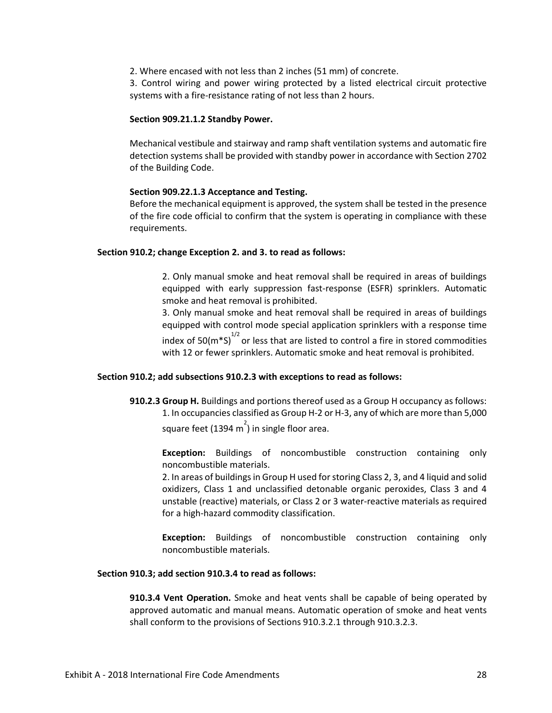2. Where encased with not less than 2 inches (51 mm) of concrete.

3. Control wiring and power wiring protected by a listed electrical circuit protective systems with a fire-resistance rating of not less than 2 hours.

#### **Section 909.21.1.2 Standby Power.**

Mechanical vestibule and stairway and ramp shaft ventilation systems and automatic fire detection systems shall be provided with standby power in accordance with Section 2702 of the Building Code.

#### **Section 909.22.1.3 Acceptance and Testing.**

Before the mechanical equipment is approved, the system shall be tested in the presence of the fire code official to confirm that the system is operating in compliance with these requirements.

#### **Section 910.2; change Exception 2. and 3. to read as follows:**

2. Only manual smoke and heat removal shall be required in areas of buildings equipped with early suppression fast-response (ESFR) sprinklers. Automatic smoke and heat removal is prohibited.

3. Only manual smoke and heat removal shall be required in areas of buildings equipped with control mode special application sprinklers with a response time index of 50(m\*S)<sup>1/2</sup> or less that are listed to control a fire in stored commodities with 12 or fewer sprinklers. Automatic smoke and heat removal is prohibited.

#### **Section 910.2; add subsections 910.2.3 with exceptions to read as follows:**

**910.2.3 Group H.** Buildings and portions thereof used as a Group H occupancy as follows: 1. In occupancies classified as Group H-2 or H-3, any of which are more than 5,000 square feet (1394 m<sup>2</sup>) in single floor area.

**Exception:** Buildings of noncombustible construction containing only noncombustible materials.

2. In areas of buildings in Group H used for storing Class 2, 3, and 4 liquid and solid oxidizers, Class 1 and unclassified detonable organic peroxides, Class 3 and 4 unstable (reactive) materials, or Class 2 or 3 water-reactive materials as required for a high-hazard commodity classification.

**Exception:** Buildings of noncombustible construction containing only noncombustible materials.

#### **Section 910.3; add section 910.3.4 to read as follows:**

**910.3.4 Vent Operation.** Smoke and heat vents shall be capable of being operated by approved automatic and manual means. Automatic operation of smoke and heat vents shall conform to the provisions of Sections 910.3.2.1 through 910.3.2.3.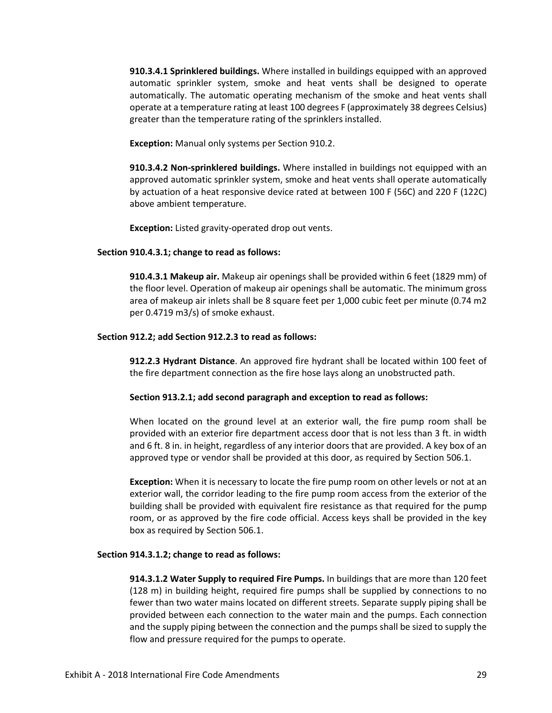**910.3.4.1 Sprinklered buildings.** Where installed in buildings equipped with an approved automatic sprinkler system, smoke and heat vents shall be designed to operate automatically. The automatic operating mechanism of the smoke and heat vents shall operate at a temperature rating at least 100 degrees F (approximately 38 degrees Celsius) greater than the temperature rating of the sprinklers installed.

**Exception:** Manual only systems per Section 910.2.

**910.3.4.2 Non-sprinklered buildings.** Where installed in buildings not equipped with an approved automatic sprinkler system, smoke and heat vents shall operate automatically by actuation of a heat responsive device rated at between 100 F (56C) and 220 F (122C) above ambient temperature.

**Exception:** Listed gravity-operated drop out vents.

## **Section 910.4.3.1; change to read as follows:**

**910.4.3.1 Makeup air.** Makeup air openings shall be provided within 6 feet (1829 mm) of the floor level. Operation of makeup air openings shall be automatic. The minimum gross area of makeup air inlets shall be 8 square feet per 1,000 cubic feet per minute (0.74 m2 per 0.4719 m3/s) of smoke exhaust.

## **Section 912.2; add Section 912.2.3 to read as follows:**

**912.2.3 Hydrant Distance**. An approved fire hydrant shall be located within 100 feet of the fire department connection as the fire hose lays along an unobstructed path.

#### **Section 913.2.1; add second paragraph and exception to read as follows:**

When located on the ground level at an exterior wall, the fire pump room shall be provided with an exterior fire department access door that is not less than 3 ft. in width and 6 ft. 8 in. in height, regardless of any interior doors that are provided. A key box of an approved type or vendor shall be provided at this door, as required by Section 506.1.

**Exception:** When it is necessary to locate the fire pump room on other levels or not at an exterior wall, the corridor leading to the fire pump room access from the exterior of the building shall be provided with equivalent fire resistance as that required for the pump room, or as approved by the fire code official. Access keys shall be provided in the key box as required by Section 506.1.

## **Section 914.3.1.2; change to read as follows:**

**914.3.1.2 Water Supply to required Fire Pumps.** In buildings that are more than 120 feet (128 m) in building height, required fire pumps shall be supplied by connections to no fewer than two water mains located on different streets. Separate supply piping shall be provided between each connection to the water main and the pumps. Each connection and the supply piping between the connection and the pumps shall be sized to supply the flow and pressure required for the pumps to operate.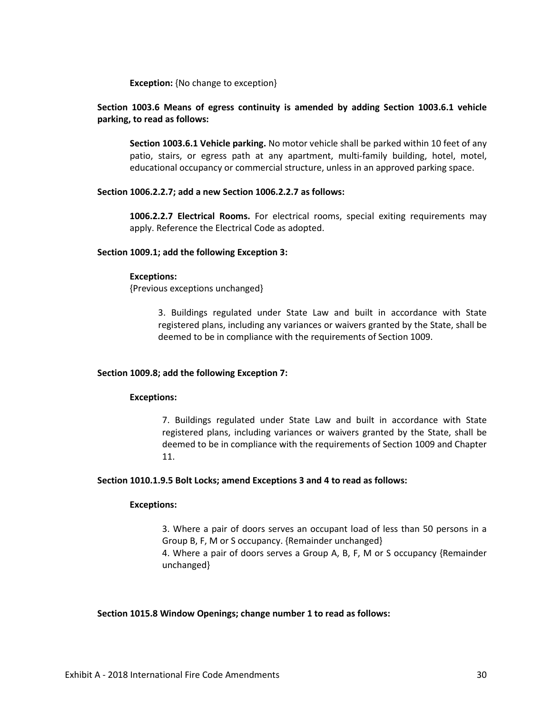**Exception:** {No change to exception}

## **Section 1003.6 Means of egress continuity is amended by adding Section 1003.6.1 vehicle parking, to read as follows:**

**Section 1003.6.1 Vehicle parking.** No motor vehicle shall be parked within 10 feet of any patio, stairs, or egress path at any apartment, multi-family building, hotel, motel, educational occupancy or commercial structure, unless in an approved parking space.

#### **Section 1006.2.2.7; add a new Section 1006.2.2.7 as follows:**

**1006.2.2.7 Electrical Rooms.** For electrical rooms, special exiting requirements may apply. Reference the Electrical Code as adopted.

## **Section 1009.1; add the following Exception 3:**

#### **Exceptions:**

{Previous exceptions unchanged}

3. Buildings regulated under State Law and built in accordance with State registered plans, including any variances or waivers granted by the State, shall be deemed to be in compliance with the requirements of Section 1009.

## **Section 1009.8; add the following Exception 7:**

#### **Exceptions:**

7. Buildings regulated under State Law and built in accordance with State registered plans, including variances or waivers granted by the State, shall be deemed to be in compliance with the requirements of Section 1009 and Chapter 11.

#### **Section 1010.1.9.5 Bolt Locks; amend Exceptions 3 and 4 to read as follows:**

## **Exceptions:**

3. Where a pair of doors serves an occupant load of less than 50 persons in a Group B, F, M or S occupancy. {Remainder unchanged}

4. Where a pair of doors serves a Group A, B, F, M or S occupancy {Remainder unchanged}

## **Section 1015.8 Window Openings; change number 1 to read as follows:**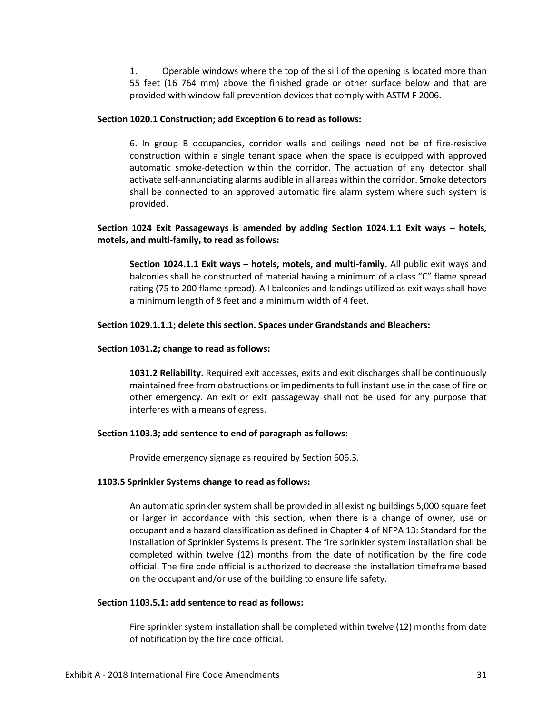1. Operable windows where the top of the sill of the opening is located more than 55 feet (16 764 mm) above the finished grade or other surface below and that are provided with window fall prevention devices that comply with ASTM F 2006.

## **Section 1020.1 Construction; add Exception 6 to read as follows:**

6. In group B occupancies, corridor walls and ceilings need not be of fire-resistive construction within a single tenant space when the space is equipped with approved automatic smoke-detection within the corridor. The actuation of any detector shall activate self-annunciating alarms audible in all areas within the corridor. Smoke detectors shall be connected to an approved automatic fire alarm system where such system is provided.

## **Section 1024 Exit Passageways is amended by adding Section 1024.1.1 Exit ways – hotels, motels, and multi-family, to read as follows:**

**Section 1024.1.1 Exit ways – hotels, motels, and multi-family.** All public exit ways and balconies shall be constructed of material having a minimum of a class "C" flame spread rating (75 to 200 flame spread). All balconies and landings utilized as exit ways shall have a minimum length of 8 feet and a minimum width of 4 feet.

## **Section 1029.1.1.1; delete this section. Spaces under Grandstands and Bleachers:**

## **Section 1031.2; change to read as follows:**

**1031.2 Reliability.** Required exit accesses, exits and exit discharges shall be continuously maintained free from obstructions or impediments to full instant use in the case of fire or other emergency. An exit or exit passageway shall not be used for any purpose that interferes with a means of egress.

## **Section 1103.3; add sentence to end of paragraph as follows:**

Provide emergency signage as required by Section 606.3.

#### **1103.5 Sprinkler Systems change to read as follows:**

An automatic sprinkler system shall be provided in all existing buildings 5,000 square feet or larger in accordance with this section, when there is a change of owner, use or occupant and a hazard classification as defined in Chapter 4 of NFPA 13: Standard for the Installation of Sprinkler Systems is present. The fire sprinkler system installation shall be completed within twelve (12) months from the date of notification by the fire code official. The fire code official is authorized to decrease the installation timeframe based on the occupant and/or use of the building to ensure life safety.

#### **Section 1103.5.1: add sentence to read as follows:**

Fire sprinkler system installation shall be completed within twelve (12) months from date of notification by the fire code official.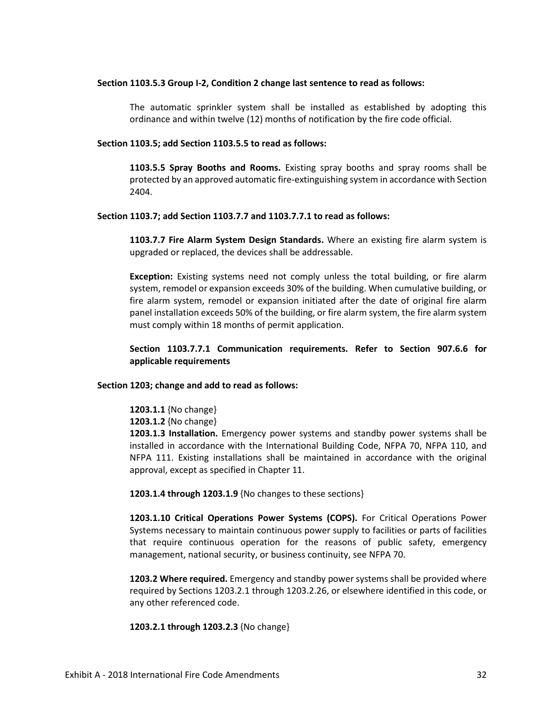#### **Section 1103.5.3 Group I-2, Condition 2 change last sentence to read as follows:**

The automatic sprinkler system shall be installed as established by adopting this ordinance and within twelve (12) months of notification by the fire code official.

#### **Section 1103.5; add Section 1103.5.5 to read as follows:**

**1103.5.5 Spray Booths and Rooms.** Existing spray booths and spray rooms shall be protected by an approved automatic fire-extinguishing system in accordance with Section 2404.

#### **Section 1103.7; add Section 1103.7.7 and 1103.7.7.1 to read as follows:**

**1103.7.7 Fire Alarm System Design Standards.** Where an existing fire alarm system is upgraded or replaced, the devices shall be addressable.

**Exception:** Existing systems need not comply unless the total building, or fire alarm system, remodel or expansion exceeds 30% of the building. When cumulative building, or fire alarm system, remodel or expansion initiated after the date of original fire alarm panel installation exceeds 50% of the building, or fire alarm system, the fire alarm system must comply within 18 months of permit application.

## **Section 1103.7.7.1 Communication requirements. Refer to Section 907.6.6 for applicable requirements**

#### **Section 1203; change and add to read as follows:**

**1203.1.1** {No change}

**1203.1.2** {No change}

**1203.1.3 Installation.** Emergency power systems and standby power systems shall be installed in accordance with the International Building Code, NFPA 70, NFPA 110, and NFPA 111. Existing installations shall be maintained in accordance with the original approval, except as specified in Chapter 11.

**1203.1.4 through 1203.1.9** {No changes to these sections}

**1203.1.10 Critical Operations Power Systems (COPS).** For Critical Operations Power Systems necessary to maintain continuous power supply to facilities or parts of facilities that require continuous operation for the reasons of public safety, emergency management, national security, or business continuity, see NFPA 70.

**1203.2 Where required.** Emergency and standby power systems shall be provided where required by Sections 1203.2.1 through 1203.2.26, or elsewhere identified in this code, or any other referenced code.

**1203.2.1 through 1203.2.3** {No change}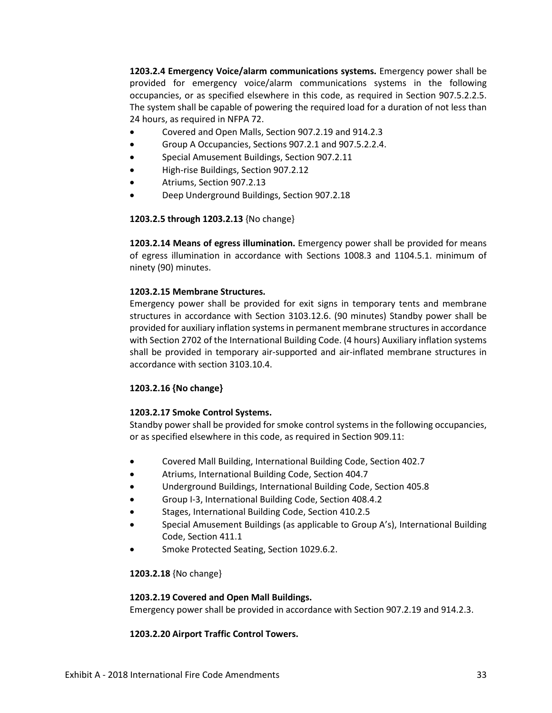**1203.2.4 Emergency Voice/alarm communications systems.** Emergency power shall be provided for emergency voice/alarm communications systems in the following occupancies, or as specified elsewhere in this code, as required in Section 907.5.2.2.5. The system shall be capable of powering the required load for a duration of not less than 24 hours, as required in NFPA 72.

- Covered and Open Malls, Section 907.2.19 and 914.2.3
- Group A Occupancies, Sections 907.2.1 and 907.5.2.2.4.
- Special Amusement Buildings, Section 907.2.11
- High-rise Buildings, Section 907.2.12
- Atriums, Section 907.2.13
- Deep Underground Buildings, Section 907.2.18

## **1203.2.5 through 1203.2.13** {No change}

**1203.2.14 Means of egress illumination.** Emergency power shall be provided for means of egress illumination in accordance with Sections 1008.3 and 1104.5.1. minimum of ninety (90) minutes.

## **1203.2.15 Membrane Structures.**

Emergency power shall be provided for exit signs in temporary tents and membrane structures in accordance with Section 3103.12.6. (90 minutes) Standby power shall be provided for auxiliary inflation systems in permanent membrane structures in accordance with Section 2702 of the International Building Code. (4 hours) Auxiliary inflation systems shall be provided in temporary air-supported and air-inflated membrane structures in accordance with section 3103.10.4.

## **1203.2.16 {No change}**

## **1203.2.17 Smoke Control Systems.**

Standby power shall be provided for smoke control systems in the following occupancies, or as specified elsewhere in this code, as required in Section 909.11:

- Covered Mall Building, International Building Code, Section 402.7
- Atriums, International Building Code, Section 404.7
- Underground Buildings, International Building Code, Section 405.8
- Group I-3, International Building Code, Section 408.4.2
- Stages, International Building Code, Section 410.2.5
- Special Amusement Buildings (as applicable to Group A's), International Building Code, Section 411.1
- Smoke Protected Seating, Section 1029.6.2.

## **1203.2.18** {No change}

## **1203.2.19 Covered and Open Mall Buildings.**

Emergency power shall be provided in accordance with Section 907.2.19 and 914.2.3.

## **1203.2.20 Airport Traffic Control Towers.**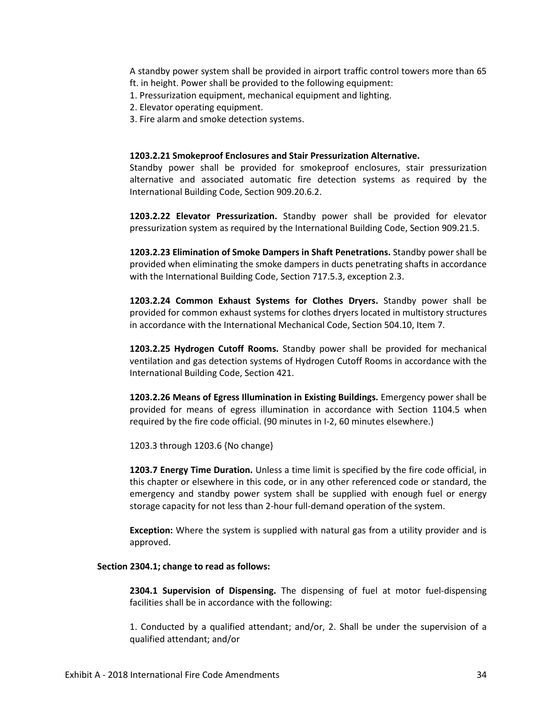A standby power system shall be provided in airport traffic control towers more than 65 ft. in height. Power shall be provided to the following equipment:

- 1. Pressurization equipment, mechanical equipment and lighting.
- 2. Elevator operating equipment.
- 3. Fire alarm and smoke detection systems.

## **1203.2.21 Smokeproof Enclosures and Stair Pressurization Alternative.**

Standby power shall be provided for smokeproof enclosures, stair pressurization alternative and associated automatic fire detection systems as required by the International Building Code, Section 909.20.6.2.

**1203.2.22 Elevator Pressurization.** Standby power shall be provided for elevator pressurization system as required by the International Building Code, Section 909.21.5.

**1203.2.23 Elimination of Smoke Dampers in Shaft Penetrations.** Standby power shall be provided when eliminating the smoke dampers in ducts penetrating shafts in accordance with the International Building Code, Section 717.5.3, exception 2.3.

**1203.2.24 Common Exhaust Systems for Clothes Dryers.** Standby power shall be provided for common exhaust systems for clothes dryers located in multistory structures in accordance with the International Mechanical Code, Section 504.10, Item 7.

**1203.2.25 Hydrogen Cutoff Rooms.** Standby power shall be provided for mechanical ventilation and gas detection systems of Hydrogen Cutoff Rooms in accordance with the International Building Code, Section 421.

**1203.2.26 Means of Egress Illumination in Existing Buildings.** Emergency power shall be provided for means of egress illumination in accordance with Section 1104.5 when required by the fire code official. (90 minutes in I-2, 60 minutes elsewhere.)

1203.3 through 1203.6 {No change}

**1203.7 Energy Time Duration.** Unless a time limit is specified by the fire code official, in this chapter or elsewhere in this code, or in any other referenced code or standard, the emergency and standby power system shall be supplied with enough fuel or energy storage capacity for not less than 2-hour full-demand operation of the system.

**Exception:** Where the system is supplied with natural gas from a utility provider and is approved.

#### **Section 2304.1; change to read as follows:**

**2304.1 Supervision of Dispensing.** The dispensing of fuel at motor fuel-dispensing facilities shall be in accordance with the following:

1. Conducted by a qualified attendant; and/or, 2. Shall be under the supervision of a qualified attendant; and/or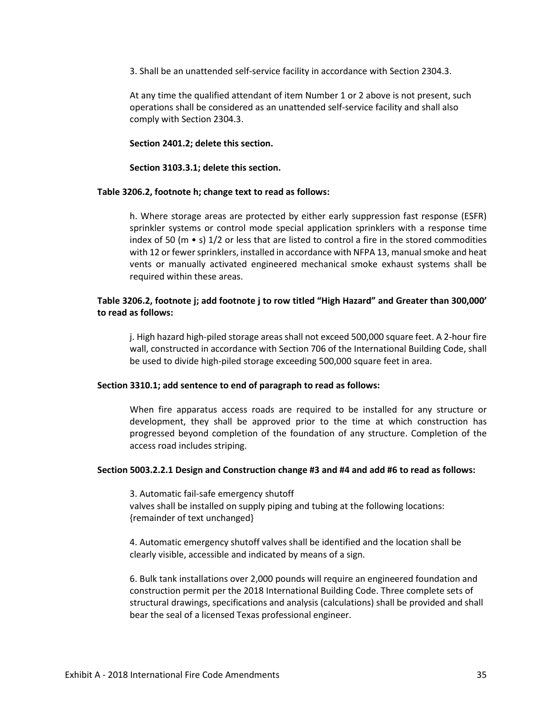3. Shall be an unattended self-service facility in accordance with Section 2304.3.

At any time the qualified attendant of item Number 1 or 2 above is not present, such operations shall be considered as an unattended self-service facility and shall also comply with Section 2304.3.

**Section 2401.2; delete this section.**

**Section 3103.3.1; delete this section.**

## **Table 3206.2, footnote h; change text to read as follows:**

h. Where storage areas are protected by either early suppression fast response (ESFR) sprinkler systems or control mode special application sprinklers with a response time index of 50 ( $m \cdot s$ ) 1/2 or less that are listed to control a fire in the stored commodities with 12 or fewer sprinklers, installed in accordance with NFPA 13, manual smoke and heat vents or manually activated engineered mechanical smoke exhaust systems shall be required within these areas.

## **Table 3206.2, footnote j; add footnote j to row titled "High Hazard" and Greater than 300,000' to read as follows:**

j. High hazard high-piled storage areas shall not exceed 500,000 square feet. A 2-hour fire wall, constructed in accordance with Section 706 of the International Building Code, shall be used to divide high-piled storage exceeding 500,000 square feet in area.

#### **Section 3310.1; add sentence to end of paragraph to read as follows:**

When fire apparatus access roads are required to be installed for any structure or development, they shall be approved prior to the time at which construction has progressed beyond completion of the foundation of any structure. Completion of the access road includes striping.

#### **Section 5003.2.2.1 Design and Construction change #3 and #4 and add #6 to read as follows:**

3. Automatic fail-safe emergency shutoff valves shall be installed on supply piping and tubing at the following locations: {remainder of text unchanged}

4. Automatic emergency shutoff valves shall be identified and the location shall be clearly visible, accessible and indicated by means of a sign.

6. Bulk tank installations over 2,000 pounds will require an engineered foundation and construction permit per the 2018 International Building Code. Three complete sets of structural drawings, specifications and analysis (calculations) shall be provided and shall bear the seal of a licensed Texas professional engineer.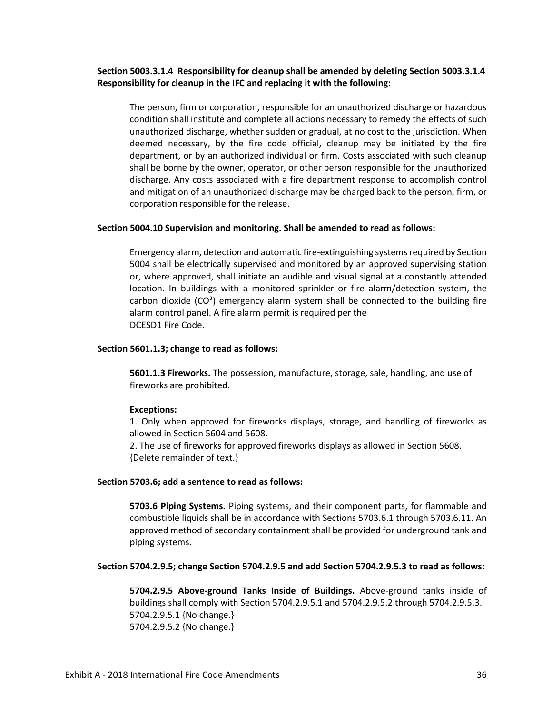## **Section 5003.3.1.4 Responsibility for cleanup shall be amended by deleting Section 5003.3.1.4 Responsibility for cleanup in the IFC and replacing it with the following:**

The person, firm or corporation, responsible for an unauthorized discharge or hazardous condition shall institute and complete all actions necessary to remedy the effects of such unauthorized discharge, whether sudden or gradual, at no cost to the jurisdiction. When deemed necessary, by the fire code official, cleanup may be initiated by the fire department, or by an authorized individual or firm. Costs associated with such cleanup shall be borne by the owner, operator, or other person responsible for the unauthorized discharge. Any costs associated with a fire department response to accomplish control and mitigation of an unauthorized discharge may be charged back to the person, firm, or corporation responsible for the release.

#### **Section 5004.10 Supervision and monitoring. Shall be amended to read as follows:**

Emergency alarm, detection and automatic fire-extinguishing systems required by Section 5004 shall be electrically supervised and monitored by an approved supervising station or, where approved, shall initiate an audible and visual signal at a constantly attended location. In buildings with a monitored sprinkler or fire alarm/detection system, the carbon dioxide (CO²) emergency alarm system shall be connected to the building fire alarm control panel. A fire alarm permit is required per the DCESD1 Fire Code.

#### **Section 5601.1.3; change to read as follows:**

**5601.1.3 Fireworks.** The possession, manufacture, storage, sale, handling, and use of fireworks are prohibited.

#### **Exceptions:**

1. Only when approved for fireworks displays, storage, and handling of fireworks as allowed in Section 5604 and 5608.

2. The use of fireworks for approved fireworks displays as allowed in Section 5608. {Delete remainder of text.}

#### **Section 5703.6; add a sentence to read as follows:**

**5703.6 Piping Systems.** Piping systems, and their component parts, for flammable and combustible liquids shall be in accordance with Sections 5703.6.1 through 5703.6.11. An approved method of secondary containment shall be provided for underground tank and piping systems.

#### **Section 5704.2.9.5; change Section 5704.2.9.5 and add Section 5704.2.9.5.3 to read as follows:**

**5704.2.9.5 Above-ground Tanks Inside of Buildings.** Above-ground tanks inside of buildings shall comply with Section 5704.2.9.5.1 and 5704.2.9.5.2 through 5704.2.9.5.3. 5704.2.9.5.1 {No change.} 5704.2.9.5.2 {No change.}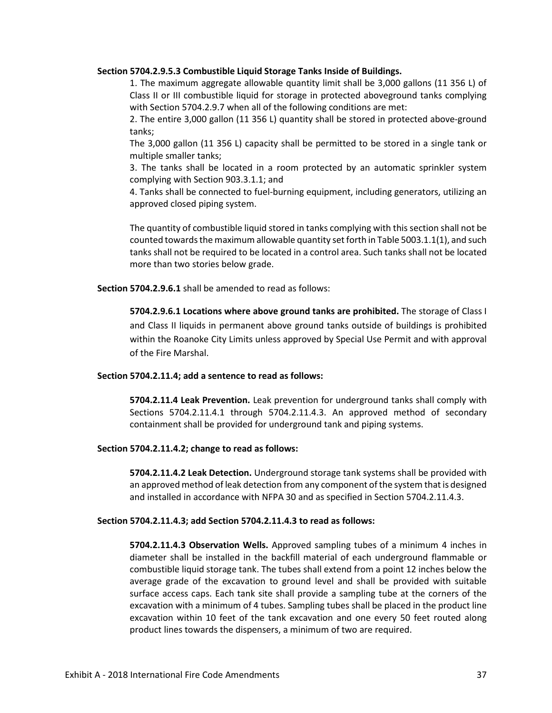#### **Section 5704.2.9.5.3 Combustible Liquid Storage Tanks Inside of Buildings.**

1. The maximum aggregate allowable quantity limit shall be 3,000 gallons (11 356 L) of Class II or III combustible liquid for storage in protected aboveground tanks complying with Section 5704.2.9.7 when all of the following conditions are met:

2. The entire 3,000 gallon (11 356 L) quantity shall be stored in protected above-ground tanks;

The 3,000 gallon (11 356 L) capacity shall be permitted to be stored in a single tank or multiple smaller tanks;

3. The tanks shall be located in a room protected by an automatic sprinkler system complying with Section 903.3.1.1; and

4. Tanks shall be connected to fuel-burning equipment, including generators, utilizing an approved closed piping system.

The quantity of combustible liquid stored in tanks complying with this section shall not be counted towards the maximum allowable quantity set forth in Table 5003.1.1(1), and such tanks shall not be required to be located in a control area. Such tanks shall not be located more than two stories below grade.

**Section 5704.2.9.6.1** shall be amended to read as follows:

**5704.2.9.6.1 Locations where above ground tanks are prohibited.** The storage of Class I and Class II liquids in permanent above ground tanks outside of buildings is prohibited within the Roanoke City Limits unless approved by Special Use Permit and with approval of the Fire Marshal.

#### **Section 5704.2.11.4; add a sentence to read as follows:**

**5704.2.11.4 Leak Prevention.** Leak prevention for underground tanks shall comply with Sections 5704.2.11.4.1 through 5704.2.11.4.3. An approved method of secondary containment shall be provided for underground tank and piping systems.

#### **Section 5704.2.11.4.2; change to read as follows:**

**5704.2.11.4.2 Leak Detection.** Underground storage tank systems shall be provided with an approved method of leak detection from any component of the system that is designed and installed in accordance with NFPA 30 and as specified in Section 5704.2.11.4.3.

#### **Section 5704.2.11.4.3; add Section 5704.2.11.4.3 to read as follows:**

**5704.2.11.4.3 Observation Wells.** Approved sampling tubes of a minimum 4 inches in diameter shall be installed in the backfill material of each underground flammable or combustible liquid storage tank. The tubes shall extend from a point 12 inches below the average grade of the excavation to ground level and shall be provided with suitable surface access caps. Each tank site shall provide a sampling tube at the corners of the excavation with a minimum of 4 tubes. Sampling tubes shall be placed in the product line excavation within 10 feet of the tank excavation and one every 50 feet routed along product lines towards the dispensers, a minimum of two are required.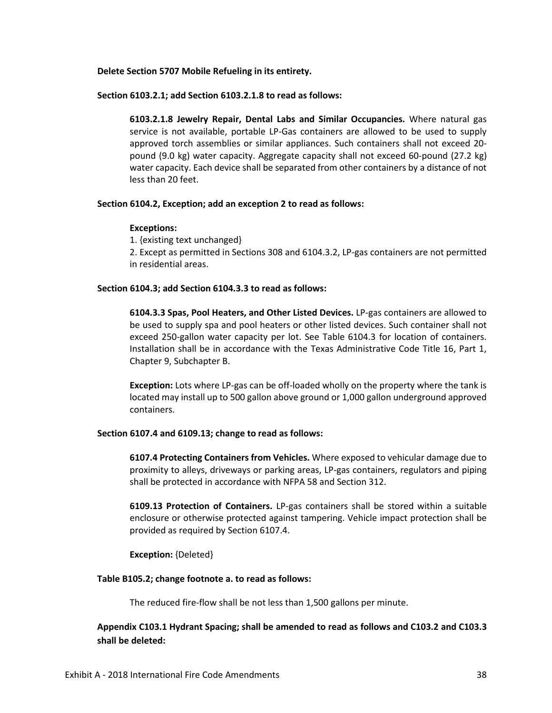## **Delete Section 5707 Mobile Refueling in its entirety.**

#### **Section 6103.2.1; add Section 6103.2.1.8 to read as follows:**

**6103.2.1.8 Jewelry Repair, Dental Labs and Similar Occupancies.** Where natural gas service is not available, portable LP-Gas containers are allowed to be used to supply approved torch assemblies or similar appliances. Such containers shall not exceed 20 pound (9.0 kg) water capacity. Aggregate capacity shall not exceed 60-pound (27.2 kg) water capacity. Each device shall be separated from other containers by a distance of not less than 20 feet.

## **Section 6104.2, Exception; add an exception 2 to read as follows:**

## **Exceptions:**

1. {existing text unchanged}

2. Except as permitted in Sections 308 and 6104.3.2, LP-gas containers are not permitted in residential areas.

## **Section 6104.3; add Section 6104.3.3 to read as follows:**

**6104.3.3 Spas, Pool Heaters, and Other Listed Devices.** LP-gas containers are allowed to be used to supply spa and pool heaters or other listed devices. Such container shall not exceed 250-gallon water capacity per lot. See Table 6104.3 for location of containers. Installation shall be in accordance with the Texas Administrative Code Title 16, Part 1, Chapter 9, Subchapter B.

**Exception:** Lots where LP-gas can be off-loaded wholly on the property where the tank is located may install up to 500 gallon above ground or 1,000 gallon underground approved containers.

## **Section 6107.4 and 6109.13; change to read as follows:**

**6107.4 Protecting Containers from Vehicles.** Where exposed to vehicular damage due to proximity to alleys, driveways or parking areas, LP-gas containers, regulators and piping shall be protected in accordance with NFPA 58 and Section 312.

**6109.13 Protection of Containers.** LP-gas containers shall be stored within a suitable enclosure or otherwise protected against tampering. Vehicle impact protection shall be provided as required by Section 6107.4.

## **Exception:** {Deleted}

## **Table B105.2; change footnote a. to read as follows:**

The reduced fire-flow shall be not less than 1,500 gallons per minute.

## **Appendix C103.1 Hydrant Spacing; shall be amended to read as follows and C103.2 and C103.3 shall be deleted:**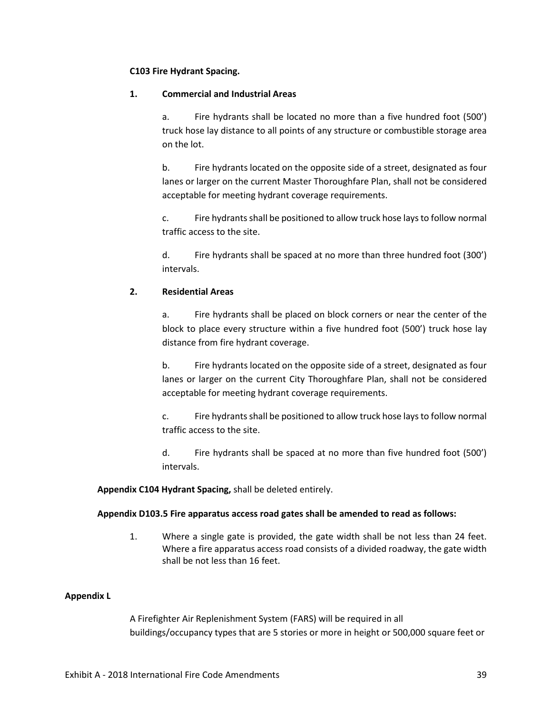## **C103 Fire Hydrant Spacing.**

## **1. Commercial and Industrial Areas**

a. Fire hydrants shall be located no more than a five hundred foot (500') truck hose lay distance to all points of any structure or combustible storage area on the lot.

b. Fire hydrants located on the opposite side of a street, designated as four lanes or larger on the current Master Thoroughfare Plan, shall not be considered acceptable for meeting hydrant coverage requirements.

c. Fire hydrants shall be positioned to allow truck hose lays to follow normal traffic access to the site.

d. Fire hydrants shall be spaced at no more than three hundred foot (300') intervals.

## **2. Residential Areas**

a. Fire hydrants shall be placed on block corners or near the center of the block to place every structure within a five hundred foot (500') truck hose lay distance from fire hydrant coverage.

b. Fire hydrants located on the opposite side of a street, designated as four lanes or larger on the current City Thoroughfare Plan, shall not be considered acceptable for meeting hydrant coverage requirements.

c. Fire hydrants shall be positioned to allow truck hose lays to follow normal traffic access to the site.

d. Fire hydrants shall be spaced at no more than five hundred foot (500') intervals.

## **Appendix C104 Hydrant Spacing,** shall be deleted entirely.

#### **Appendix D103.5 Fire apparatus access road gates shall be amended to read as follows:**

1. Where a single gate is provided, the gate width shall be not less than 24 feet. Where a fire apparatus access road consists of a divided roadway, the gate width shall be not less than 16 feet.

#### **Appendix L**

A Firefighter Air Replenishment System (FARS) will be required in all buildings/occupancy types that are 5 stories or more in height or 500,000 square feet or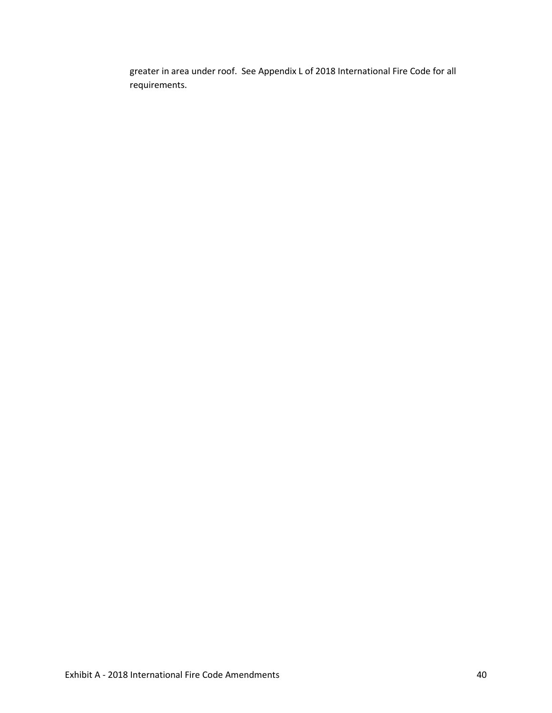greater in area under roof. See Appendix L of 2018 International Fire Code for all requirements.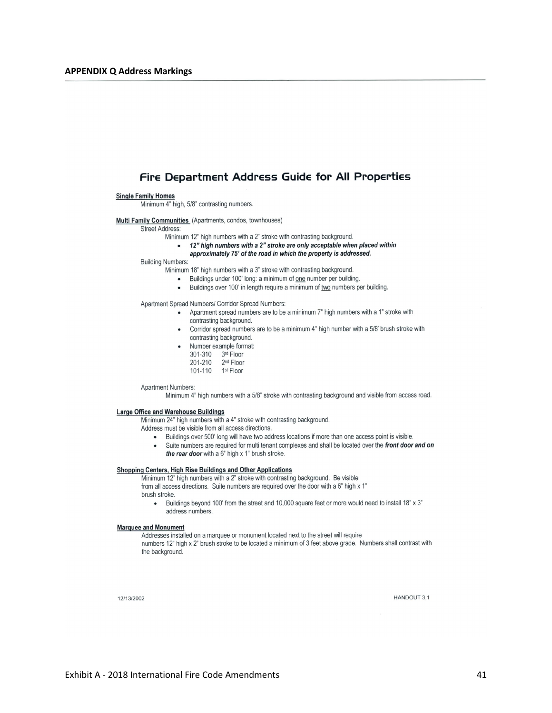

#### Shopping Centers, High Rise Buildings and Other Applications

Minimum 12" high numbers with a 2" stroke with contrasting background. Be visible from all access directions. Suite numbers are required over the door with a 6" high x 1"

- brush stroke.
	- Buildings beyond 100' from the street and 10,000 square feet or more would need to install 18" x 3"  $\bullet$ address numbers.

#### **Marquee and Monument**

Addresses installed on a marquee or monument located next to the street will require numbers 12" high x 2" brush stroke to be located a minimum of 3 feet above grade. Numbers shall contrast with the background.

12/13/2002

HANDOUT 3.1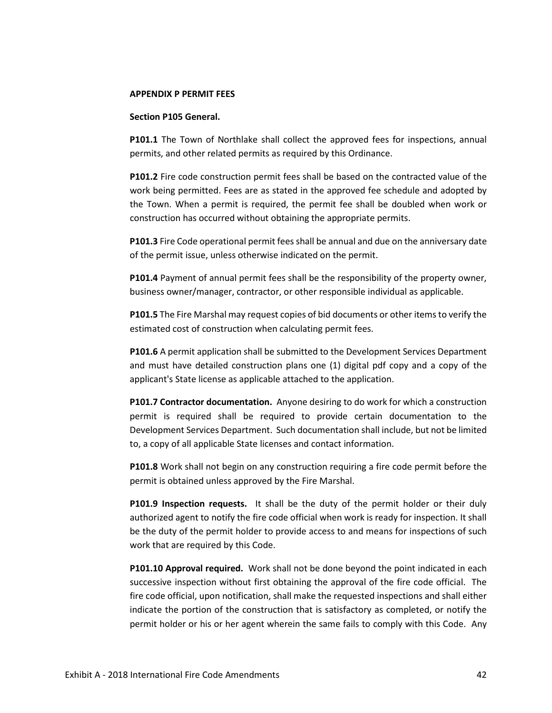#### **APPENDIX P PERMIT FEES**

#### **Section P105 General.**

**P101.1** The Town of Northlake shall collect the approved fees for inspections, annual permits, and other related permits as required by this Ordinance.

**P101.2** Fire code construction permit fees shall be based on the contracted value of the work being permitted. Fees are as stated in the approved fee schedule and adopted by the Town. When a permit is required, the permit fee shall be doubled when work or construction has occurred without obtaining the appropriate permits.

**P101.3** Fire Code operational permit fees shall be annual and due on the anniversary date of the permit issue, unless otherwise indicated on the permit.

**P101.4** Payment of annual permit fees shall be the responsibility of the property owner, business owner/manager, contractor, or other responsible individual as applicable.

**P101.5** The Fire Marshal may request copies of bid documents or other items to verify the estimated cost of construction when calculating permit fees.

**P101.6** A permit application shall be submitted to the Development Services Department and must have detailed construction plans one (1) digital pdf copy and a copy of the applicant's State license as applicable attached to the application.

**P101.7 Contractor documentation.** Anyone desiring to do work for which a construction permit is required shall be required to provide certain documentation to the Development Services Department. Such documentation shall include, but not be limited to, a copy of all applicable State licenses and contact information.

**P101.8** Work shall not begin on any construction requiring a fire code permit before the permit is obtained unless approved by the Fire Marshal.

**P101.9 Inspection requests.** It shall be the duty of the permit holder or their duly authorized agent to notify the fire code official when work is ready for inspection. It shall be the duty of the permit holder to provide access to and means for inspections of such work that are required by this Code.

**P101.10 Approval required.** Work shall not be done beyond the point indicated in each successive inspection without first obtaining the approval of the fire code official. The fire code official, upon notification, shall make the requested inspections and shall either indicate the portion of the construction that is satisfactory as completed, or notify the permit holder or his or her agent wherein the same fails to comply with this Code. Any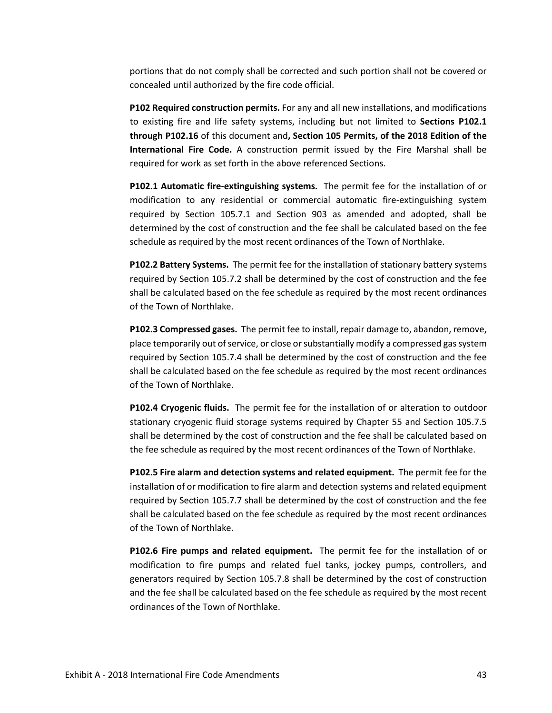portions that do not comply shall be corrected and such portion shall not be covered or concealed until authorized by the fire code official.

**P102 Required construction permits.** For any and all new installations, and modifications to existing fire and life safety systems, including but not limited to **Sections P102.1 through P102.16** of this document and**, Section 105 Permits, of the 2018 Edition of the International Fire Code.** A construction permit issued by the Fire Marshal shall be required for work as set forth in the above referenced Sections.

**P102.1 Automatic fire-extinguishing systems.** The permit fee for the installation of or modification to any residential or commercial automatic fire-extinguishing system required by Section 105.7.1 and Section 903 as amended and adopted, shall be determined by the cost of construction and the fee shall be calculated based on the fee schedule as required by the most recent ordinances of the Town of Northlake.

**P102.2 Battery Systems.** The permit fee for the installation of stationary battery systems required by Section 105.7.2 shall be determined by the cost of construction and the fee shall be calculated based on the fee schedule as required by the most recent ordinances of the Town of Northlake.

**P102.3 Compressed gases.** The permit fee to install, repair damage to, abandon, remove, place temporarily out of service, or close or substantially modify a compressed gassystem required by Section 105.7.4 shall be determined by the cost of construction and the fee shall be calculated based on the fee schedule as required by the most recent ordinances of the Town of Northlake.

**P102.4 Cryogenic fluids.** The permit fee for the installation of or alteration to outdoor stationary cryogenic fluid storage systems required by Chapter 55 and Section 105.7.5 shall be determined by the cost of construction and the fee shall be calculated based on the fee schedule as required by the most recent ordinances of the Town of Northlake.

**P102.5 Fire alarm and detection systems and related equipment.** The permit fee for the installation of or modification to fire alarm and detection systems and related equipment required by Section 105.7.7 shall be determined by the cost of construction and the fee shall be calculated based on the fee schedule as required by the most recent ordinances of the Town of Northlake.

**P102.6 Fire pumps and related equipment.** The permit fee for the installation of or modification to fire pumps and related fuel tanks, jockey pumps, controllers, and generators required by Section 105.7.8 shall be determined by the cost of construction and the fee shall be calculated based on the fee schedule as required by the most recent ordinances of the Town of Northlake.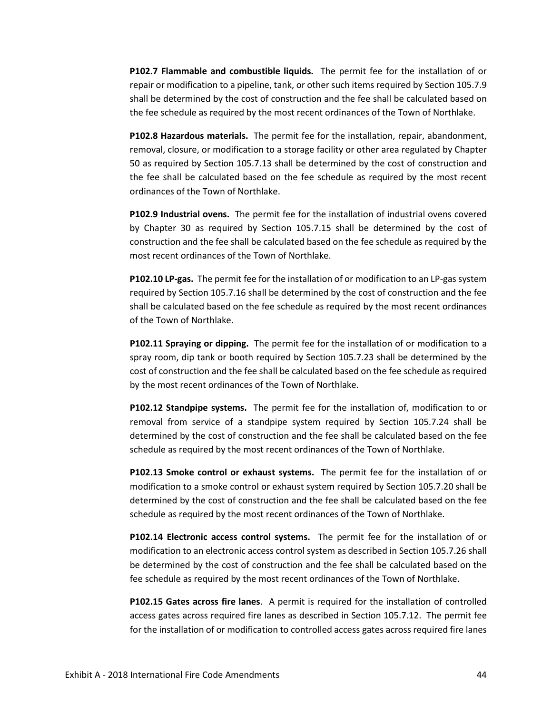**P102.7 Flammable and combustible liquids.** The permit fee for the installation of or repair or modification to a pipeline, tank, or other such items required by Section 105.7.9 shall be determined by the cost of construction and the fee shall be calculated based on the fee schedule as required by the most recent ordinances of the Town of Northlake.

**P102.8 Hazardous materials.** The permit fee for the installation, repair, abandonment, removal, closure, or modification to a storage facility or other area regulated by Chapter 50 as required by Section 105.7.13 shall be determined by the cost of construction and the fee shall be calculated based on the fee schedule as required by the most recent ordinances of the Town of Northlake.

**P102.9 Industrial ovens.** The permit fee for the installation of industrial ovens covered by Chapter 30 as required by Section 105.7.15 shall be determined by the cost of construction and the fee shall be calculated based on the fee schedule as required by the most recent ordinances of the Town of Northlake.

**P102.10 LP-gas.** The permit fee for the installation of or modification to an LP-gas system required by Section 105.7.16 shall be determined by the cost of construction and the fee shall be calculated based on the fee schedule as required by the most recent ordinances of the Town of Northlake.

**P102.11 Spraying or dipping.** The permit fee for the installation of or modification to a spray room, dip tank or booth required by Section 105.7.23 shall be determined by the cost of construction and the fee shall be calculated based on the fee schedule as required by the most recent ordinances of the Town of Northlake.

**P102.12 Standpipe systems.** The permit fee for the installation of, modification to or removal from service of a standpipe system required by Section 105.7.24 shall be determined by the cost of construction and the fee shall be calculated based on the fee schedule as required by the most recent ordinances of the Town of Northlake.

**P102.13 Smoke control or exhaust systems.** The permit fee for the installation of or modification to a smoke control or exhaust system required by Section 105.7.20 shall be determined by the cost of construction and the fee shall be calculated based on the fee schedule as required by the most recent ordinances of the Town of Northlake.

**P102.14 Electronic access control systems.** The permit fee for the installation of or modification to an electronic access control system as described in Section 105.7.26 shall be determined by the cost of construction and the fee shall be calculated based on the fee schedule as required by the most recent ordinances of the Town of Northlake.

**P102.15 Gates across fire lanes**. A permit is required for the installation of controlled access gates across required fire lanes as described in Section 105.7.12. The permit fee for the installation of or modification to controlled access gates across required fire lanes